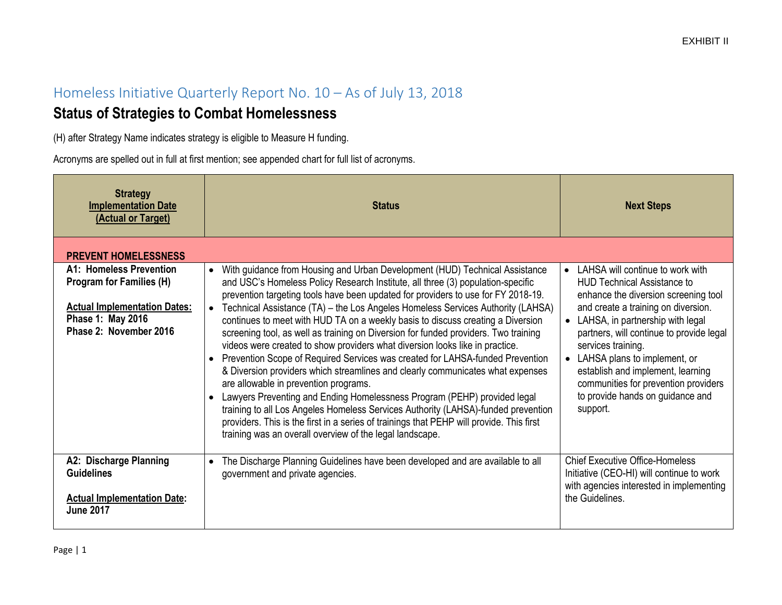## Homeless Initiative Quarterly Report No. 10 – As of July 13, 2018

## **Status of Strategies to Combat Homelessness**

(H) after Strategy Name indicates strategy is eligible to Measure H funding.

Acronyms are spelled out in full at first mention; see appended chart for full list of acronyms.

| <b>Strategy</b><br><b>Implementation Date</b><br>(Actual or Target)                                                                              | <b>Status</b>                                                                                                                                                                                                                                                                                                                                                                                                                                                                                                                                                                                                                                                                                                                                                                                                                                                                                                                                                                                                                                                                                                                                                   | <b>Next Steps</b>                                                                                                                                                                                                                                                                                                                                                                                                                         |
|--------------------------------------------------------------------------------------------------------------------------------------------------|-----------------------------------------------------------------------------------------------------------------------------------------------------------------------------------------------------------------------------------------------------------------------------------------------------------------------------------------------------------------------------------------------------------------------------------------------------------------------------------------------------------------------------------------------------------------------------------------------------------------------------------------------------------------------------------------------------------------------------------------------------------------------------------------------------------------------------------------------------------------------------------------------------------------------------------------------------------------------------------------------------------------------------------------------------------------------------------------------------------------------------------------------------------------|-------------------------------------------------------------------------------------------------------------------------------------------------------------------------------------------------------------------------------------------------------------------------------------------------------------------------------------------------------------------------------------------------------------------------------------------|
| <b>PREVENT HOMELESSNESS</b>                                                                                                                      |                                                                                                                                                                                                                                                                                                                                                                                                                                                                                                                                                                                                                                                                                                                                                                                                                                                                                                                                                                                                                                                                                                                                                                 |                                                                                                                                                                                                                                                                                                                                                                                                                                           |
| A1: Homeless Prevention<br><b>Program for Families (H)</b><br><b>Actual Implementation Dates:</b><br>Phase 1: May 2016<br>Phase 2: November 2016 | With guidance from Housing and Urban Development (HUD) Technical Assistance<br>$\bullet$<br>and USC's Homeless Policy Research Institute, all three (3) population-specific<br>prevention targeting tools have been updated for providers to use for FY 2018-19.<br>Technical Assistance (TA) - the Los Angeles Homeless Services Authority (LAHSA)<br>$\bullet$<br>continues to meet with HUD TA on a weekly basis to discuss creating a Diversion<br>screening tool, as well as training on Diversion for funded providers. Two training<br>videos were created to show providers what diversion looks like in practice.<br>Prevention Scope of Required Services was created for LAHSA-funded Prevention<br>& Diversion providers which streamlines and clearly communicates what expenses<br>are allowable in prevention programs.<br>Lawyers Preventing and Ending Homelessness Program (PEHP) provided legal<br>training to all Los Angeles Homeless Services Authority (LAHSA)-funded prevention<br>providers. This is the first in a series of trainings that PEHP will provide. This first<br>training was an overall overview of the legal landscape. | LAHSA will continue to work with<br>$\bullet$<br><b>HUD Technical Assistance to</b><br>enhance the diversion screening tool<br>and create a training on diversion.<br>• LAHSA, in partnership with legal<br>partners, will continue to provide legal<br>services training.<br>• LAHSA plans to implement, or<br>establish and implement, learning<br>communities for prevention providers<br>to provide hands on guidance and<br>support. |
| A2: Discharge Planning<br><b>Guidelines</b><br><b>Actual Implementation Date:</b><br><b>June 2017</b>                                            | The Discharge Planning Guidelines have been developed and are available to all<br>$\bullet$<br>government and private agencies.                                                                                                                                                                                                                                                                                                                                                                                                                                                                                                                                                                                                                                                                                                                                                                                                                                                                                                                                                                                                                                 | <b>Chief Executive Office-Homeless</b><br>Initiative (CEO-HI) will continue to work<br>with agencies interested in implementing<br>the Guidelines.                                                                                                                                                                                                                                                                                        |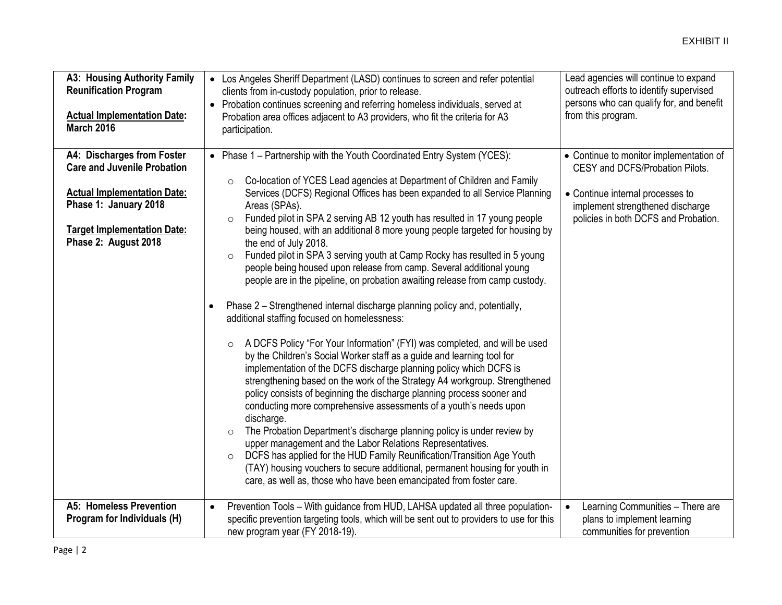| A3: Housing Authority Family<br><b>Reunification Program</b><br><b>Actual Implementation Date:</b><br><b>March 2016</b>                                                                       | • Los Angeles Sheriff Department (LASD) continues to screen and refer potential<br>clients from in-custody population, prior to release.<br>Probation continues screening and referring homeless individuals, served at<br>Probation area offices adjacent to A3 providers, who fit the criteria for A3<br>participation.                                                                                                                                                                                                                                                                                                                                                                                                                                                                                                                                                                                                                                                                                                                                                                                                                                                                                                                                                                                                                                                                                                                                                                                                                                                                                                                                                                                          | Lead agencies will continue to expand<br>outreach efforts to identify supervised<br>persons who can qualify for, and benefit<br>from this program.                                         |
|-----------------------------------------------------------------------------------------------------------------------------------------------------------------------------------------------|--------------------------------------------------------------------------------------------------------------------------------------------------------------------------------------------------------------------------------------------------------------------------------------------------------------------------------------------------------------------------------------------------------------------------------------------------------------------------------------------------------------------------------------------------------------------------------------------------------------------------------------------------------------------------------------------------------------------------------------------------------------------------------------------------------------------------------------------------------------------------------------------------------------------------------------------------------------------------------------------------------------------------------------------------------------------------------------------------------------------------------------------------------------------------------------------------------------------------------------------------------------------------------------------------------------------------------------------------------------------------------------------------------------------------------------------------------------------------------------------------------------------------------------------------------------------------------------------------------------------------------------------------------------------------------------------------------------------|--------------------------------------------------------------------------------------------------------------------------------------------------------------------------------------------|
| A4: Discharges from Foster<br><b>Care and Juvenile Probation</b><br><b>Actual Implementation Date:</b><br>Phase 1: January 2018<br><b>Target Implementation Date:</b><br>Phase 2: August 2018 | • Phase 1 - Partnership with the Youth Coordinated Entry System (YCES):<br>Co-location of YCES Lead agencies at Department of Children and Family<br>$\circ$<br>Services (DCFS) Regional Offices has been expanded to all Service Planning<br>Areas (SPAs).<br>Funded pilot in SPA 2 serving AB 12 youth has resulted in 17 young people<br>being housed, with an additional 8 more young people targeted for housing by<br>the end of July 2018.<br>Funded pilot in SPA 3 serving youth at Camp Rocky has resulted in 5 young<br>$\circ$<br>people being housed upon release from camp. Several additional young<br>people are in the pipeline, on probation awaiting release from camp custody.<br>Phase 2 - Strengthened internal discharge planning policy and, potentially,<br>additional staffing focused on homelessness:<br>A DCFS Policy "For Your Information" (FYI) was completed, and will be used<br>$\circ$<br>by the Children's Social Worker staff as a guide and learning tool for<br>implementation of the DCFS discharge planning policy which DCFS is<br>strengthening based on the work of the Strategy A4 workgroup. Strengthened<br>policy consists of beginning the discharge planning process sooner and<br>conducting more comprehensive assessments of a youth's needs upon<br>discharge.<br>The Probation Department's discharge planning policy is under review by<br>$\circ$<br>upper management and the Labor Relations Representatives.<br>DCFS has applied for the HUD Family Reunification/Transition Age Youth<br>$\circ$<br>(TAY) housing vouchers to secure additional, permanent housing for youth in<br>care, as well as, those who have been emancipated from foster care. | • Continue to monitor implementation of<br>CESY and DCFS/Probation Pilots.<br>• Continue internal processes to<br>implement strengthened discharge<br>policies in both DCFS and Probation. |
| A5: Homeless Prevention<br>Program for Individuals (H)                                                                                                                                        | Prevention Tools - With guidance from HUD, LAHSA updated all three population-<br>$\bullet$<br>specific prevention targeting tools, which will be sent out to providers to use for this<br>new program year (FY 2018-19).                                                                                                                                                                                                                                                                                                                                                                                                                                                                                                                                                                                                                                                                                                                                                                                                                                                                                                                                                                                                                                                                                                                                                                                                                                                                                                                                                                                                                                                                                          | Learning Communities - There are<br>plans to implement learning<br>communities for prevention                                                                                              |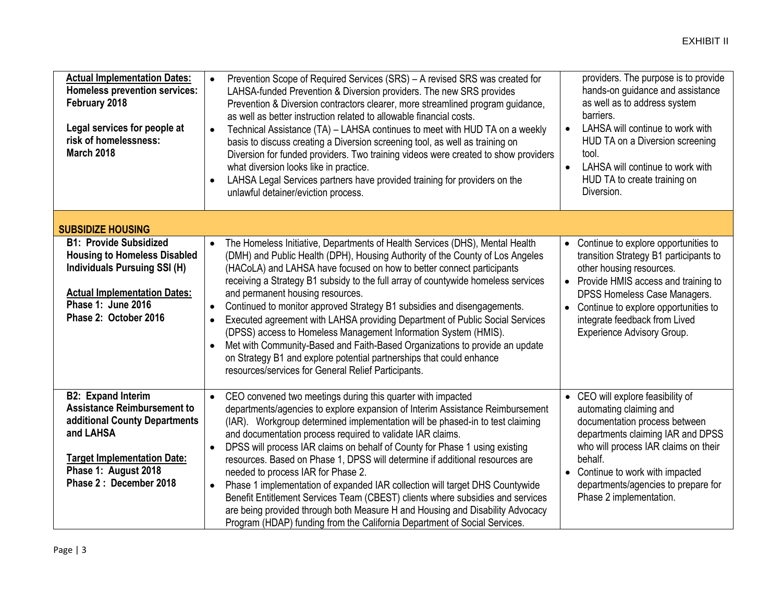| <b>Actual Implementation Dates:</b><br><b>Homeless prevention services:</b><br>February 2018<br>Legal services for people at<br>risk of homelessness:<br><b>March 2018</b>                               | Prevention Scope of Required Services (SRS) - A revised SRS was created for<br>$\bullet$<br>LAHSA-funded Prevention & Diversion providers. The new SRS provides<br>Prevention & Diversion contractors clearer, more streamlined program guidance,<br>as well as better instruction related to allowable financial costs.<br>Technical Assistance (TA) - LAHSA continues to meet with HUD TA on a weekly<br>$\bullet$<br>basis to discuss creating a Diversion screening tool, as well as training on                                                                                                                                                                                                                                                                                                                                                                    | providers. The purpose is to provide<br>hands-on guidance and assistance<br>as well as to address system<br>barriers.<br>LAHSA will continue to work with<br>$\bullet$<br>HUD TA on a Diversion screening                                                                                                                              |
|----------------------------------------------------------------------------------------------------------------------------------------------------------------------------------------------------------|-------------------------------------------------------------------------------------------------------------------------------------------------------------------------------------------------------------------------------------------------------------------------------------------------------------------------------------------------------------------------------------------------------------------------------------------------------------------------------------------------------------------------------------------------------------------------------------------------------------------------------------------------------------------------------------------------------------------------------------------------------------------------------------------------------------------------------------------------------------------------|----------------------------------------------------------------------------------------------------------------------------------------------------------------------------------------------------------------------------------------------------------------------------------------------------------------------------------------|
|                                                                                                                                                                                                          | Diversion for funded providers. Two training videos were created to show providers<br>what diversion looks like in practice.<br>LAHSA Legal Services partners have provided training for providers on the<br>$\bullet$<br>unlawful detainer/eviction process.                                                                                                                                                                                                                                                                                                                                                                                                                                                                                                                                                                                                           | tool.<br>LAHSA will continue to work with<br>HUD TA to create training on<br>Diversion.                                                                                                                                                                                                                                                |
| <b>SUBSIDIZE HOUSING</b>                                                                                                                                                                                 |                                                                                                                                                                                                                                                                                                                                                                                                                                                                                                                                                                                                                                                                                                                                                                                                                                                                         |                                                                                                                                                                                                                                                                                                                                        |
| <b>B1: Provide Subsidized</b><br><b>Housing to Homeless Disabled</b><br><b>Individuals Pursuing SSI (H)</b><br><b>Actual Implementation Dates:</b><br><b>Phase 1: June 2016</b><br>Phase 2: October 2016 | The Homeless Initiative, Departments of Health Services (DHS), Mental Health<br>$\bullet$<br>(DMH) and Public Health (DPH), Housing Authority of the County of Los Angeles<br>(HACoLA) and LAHSA have focused on how to better connect participants<br>receiving a Strategy B1 subsidy to the full array of countywide homeless services<br>and permanent housing resources.<br>Continued to monitor approved Strategy B1 subsidies and disengagements.<br>$\bullet$<br>Executed agreement with LAHSA providing Department of Public Social Services<br>$\bullet$<br>(DPSS) access to Homeless Management Information System (HMIS).<br>Met with Community-Based and Faith-Based Organizations to provide an update<br>on Strategy B1 and explore potential partnerships that could enhance<br>resources/services for General Relief Participants.                      | Continue to explore opportunities to<br>$\bullet$<br>transition Strategy B1 participants to<br>other housing resources.<br>Provide HMIS access and training to<br>$\bullet$<br><b>DPSS Homeless Case Managers.</b><br>Continue to explore opportunities to<br>$\bullet$<br>integrate feedback from Lived<br>Experience Advisory Group. |
| <b>B2: Expand Interim</b><br><b>Assistance Reimbursement to</b><br>additional County Departments<br>and LAHSA<br><b>Target Implementation Date:</b><br>Phase 1: August 2018<br>Phase 2: December 2018    | CEO convened two meetings during this quarter with impacted<br>$\bullet$<br>departments/agencies to explore expansion of Interim Assistance Reimbursement<br>(IAR). Workgroup determined implementation will be phased-in to test claiming<br>and documentation process required to validate IAR claims.<br>DPSS will process IAR claims on behalf of County for Phase 1 using existing<br>$\bullet$<br>resources. Based on Phase 1, DPSS will determine if additional resources are<br>needed to process IAR for Phase 2.<br>Phase 1 implementation of expanded IAR collection will target DHS Countywide<br>$\bullet$<br>Benefit Entitlement Services Team (CBEST) clients where subsidies and services<br>are being provided through both Measure H and Housing and Disability Advocacy<br>Program (HDAP) funding from the California Department of Social Services. | • CEO will explore feasibility of<br>automating claiming and<br>documentation process between<br>departments claiming IAR and DPSS<br>who will process IAR claims on their<br>behalf.<br>• Continue to work with impacted<br>departments/agencies to prepare for<br>Phase 2 implementation.                                            |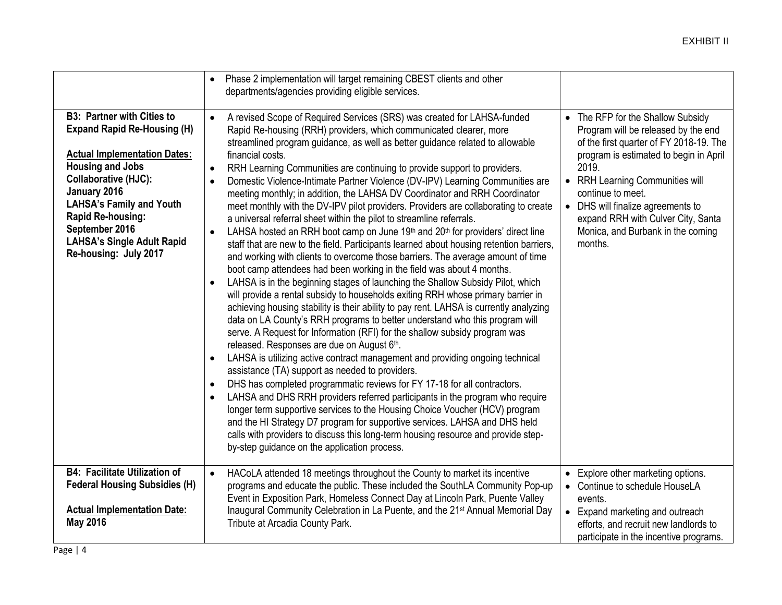|                                                                                                                                                                                                                                                                                                                           | Phase 2 implementation will target remaining CBEST clients and other<br>$\bullet$<br>departments/agencies providing eligible services.                                                                                                                                                                                                                                                                                                                                                                                                                                                                                                                                                                                                                                                                                                                                                                                                                                                                                                                                                                                                                                                                                                                                                                                                                                                                                                                                                                                                                                                                                                                                                                                                                                                                                                                                                                                                                                                                                                                                                                                                                                        |                                                                                                                                                                                                                                                                                                                                                                      |
|---------------------------------------------------------------------------------------------------------------------------------------------------------------------------------------------------------------------------------------------------------------------------------------------------------------------------|-------------------------------------------------------------------------------------------------------------------------------------------------------------------------------------------------------------------------------------------------------------------------------------------------------------------------------------------------------------------------------------------------------------------------------------------------------------------------------------------------------------------------------------------------------------------------------------------------------------------------------------------------------------------------------------------------------------------------------------------------------------------------------------------------------------------------------------------------------------------------------------------------------------------------------------------------------------------------------------------------------------------------------------------------------------------------------------------------------------------------------------------------------------------------------------------------------------------------------------------------------------------------------------------------------------------------------------------------------------------------------------------------------------------------------------------------------------------------------------------------------------------------------------------------------------------------------------------------------------------------------------------------------------------------------------------------------------------------------------------------------------------------------------------------------------------------------------------------------------------------------------------------------------------------------------------------------------------------------------------------------------------------------------------------------------------------------------------------------------------------------------------------------------------------------|----------------------------------------------------------------------------------------------------------------------------------------------------------------------------------------------------------------------------------------------------------------------------------------------------------------------------------------------------------------------|
| <b>B3: Partner with Cities to</b><br><b>Expand Rapid Re-Housing (H)</b><br><b>Actual Implementation Dates:</b><br><b>Housing and Jobs</b><br>Collaborative (HJC):<br>January 2016<br><b>LAHSA's Family and Youth</b><br>Rapid Re-housing:<br>September 2016<br><b>LAHSA's Single Adult Rapid</b><br>Re-housing: July 2017 | A revised Scope of Required Services (SRS) was created for LAHSA-funded<br>$\bullet$<br>Rapid Re-housing (RRH) providers, which communicated clearer, more<br>streamlined program guidance, as well as better guidance related to allowable<br>financial costs.<br>RRH Learning Communities are continuing to provide support to providers.<br>$\bullet$<br>Domestic Violence-Intimate Partner Violence (DV-IPV) Learning Communities are<br>meeting monthly; in addition, the LAHSA DV Coordinator and RRH Coordinator<br>meet monthly with the DV-IPV pilot providers. Providers are collaborating to create<br>a universal referral sheet within the pilot to streamline referrals.<br>LAHSA hosted an RRH boot camp on June 19th and 20th for providers' direct line<br>$\bullet$<br>staff that are new to the field. Participants learned about housing retention barriers,<br>and working with clients to overcome those barriers. The average amount of time<br>boot camp attendees had been working in the field was about 4 months.<br>LAHSA is in the beginning stages of launching the Shallow Subsidy Pilot, which<br>$\bullet$<br>will provide a rental subsidy to households exiting RRH whose primary barrier in<br>achieving housing stability is their ability to pay rent. LAHSA is currently analyzing<br>data on LA County's RRH programs to better understand who this program will<br>serve. A Request for Information (RFI) for the shallow subsidy program was<br>released. Responses are due on August 6th.<br>LAHSA is utilizing active contract management and providing ongoing technical<br>$\bullet$<br>assistance (TA) support as needed to providers.<br>DHS has completed programmatic reviews for FY 17-18 for all contractors.<br>$\bullet$<br>LAHSA and DHS RRH providers referred participants in the program who require<br>$\bullet$<br>longer term supportive services to the Housing Choice Voucher (HCV) program<br>and the HI Strategy D7 program for supportive services. LAHSA and DHS held<br>calls with providers to discuss this long-term housing resource and provide step-<br>by-step guidance on the application process. | • The RFP for the Shallow Subsidy<br>Program will be released by the end<br>of the first quarter of FY 2018-19. The<br>program is estimated to begin in April<br>2019.<br>• RRH Learning Communities will<br>continue to meet.<br>DHS will finalize agreements to<br>$\bullet$<br>expand RRH with Culver City, Santa<br>Monica, and Burbank in the coming<br>months. |
| <b>B4: Facilitate Utilization of</b><br><b>Federal Housing Subsidies (H)</b><br><b>Actual Implementation Date:</b><br><b>May 2016</b>                                                                                                                                                                                     | HACoLA attended 18 meetings throughout the County to market its incentive<br>$\bullet$<br>programs and educate the public. These included the SouthLA Community Pop-up<br>Event in Exposition Park, Homeless Connect Day at Lincoln Park, Puente Valley<br>Inaugural Community Celebration in La Puente, and the 21 <sup>st</sup> Annual Memorial Day<br>Tribute at Arcadia County Park.                                                                                                                                                                                                                                                                                                                                                                                                                                                                                                                                                                                                                                                                                                                                                                                                                                                                                                                                                                                                                                                                                                                                                                                                                                                                                                                                                                                                                                                                                                                                                                                                                                                                                                                                                                                      | • Explore other marketing options.<br>Continue to schedule HouseLA<br>$\bullet$<br>events.<br>Expand marketing and outreach<br>$\bullet$<br>efforts, and recruit new landlords to<br>participate in the incentive programs.                                                                                                                                          |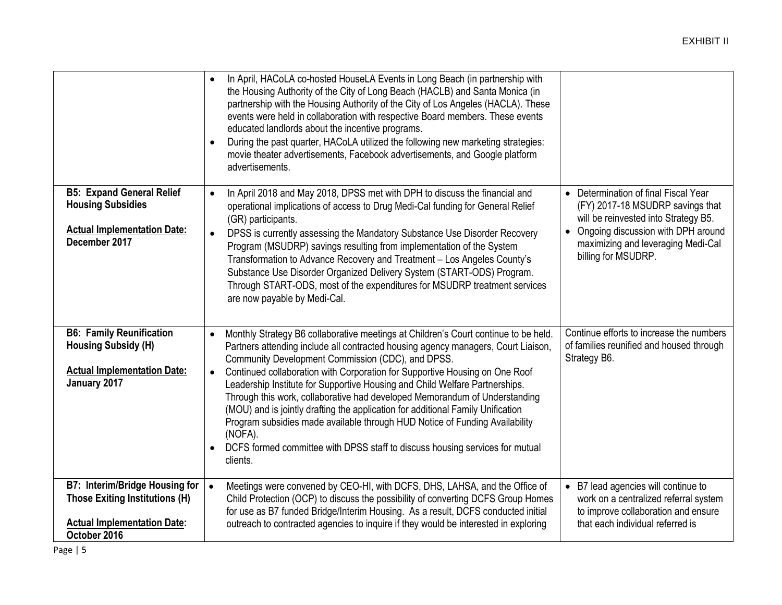|                                                                                                                               | In April, HACoLA co-hosted HouseLA Events in Long Beach (in partnership with<br>$\bullet$<br>the Housing Authority of the City of Long Beach (HACLB) and Santa Monica (in<br>partnership with the Housing Authority of the City of Los Angeles (HACLA). These<br>events were held in collaboration with respective Board members. These events<br>educated landlords about the incentive programs.<br>During the past quarter, HACoLA utilized the following new marketing strategies:<br>$\bullet$<br>movie theater advertisements, Facebook advertisements, and Google platform<br>advertisements.                                                                                                                                                            |                                                                                                                                                                                                                                  |
|-------------------------------------------------------------------------------------------------------------------------------|-----------------------------------------------------------------------------------------------------------------------------------------------------------------------------------------------------------------------------------------------------------------------------------------------------------------------------------------------------------------------------------------------------------------------------------------------------------------------------------------------------------------------------------------------------------------------------------------------------------------------------------------------------------------------------------------------------------------------------------------------------------------|----------------------------------------------------------------------------------------------------------------------------------------------------------------------------------------------------------------------------------|
| <b>B5: Expand General Relief</b><br><b>Housing Subsidies</b><br><b>Actual Implementation Date:</b><br>December 2017           | In April 2018 and May 2018, DPSS met with DPH to discuss the financial and<br>$\bullet$<br>operational implications of access to Drug Medi-Cal funding for General Relief<br>(GR) participants.<br>DPSS is currently assessing the Mandatory Substance Use Disorder Recovery<br>Program (MSUDRP) savings resulting from implementation of the System<br>Transformation to Advance Recovery and Treatment - Los Angeles County's<br>Substance Use Disorder Organized Delivery System (START-ODS) Program.<br>Through START-ODS, most of the expenditures for MSUDRP treatment services<br>are now payable by Medi-Cal.                                                                                                                                           | • Determination of final Fiscal Year<br>(FY) 2017-18 MSUDRP savings that<br>will be reinvested into Strategy B5.<br>Ongoing discussion with DPH around<br>$\bullet$<br>maximizing and leveraging Medi-Cal<br>billing for MSUDRP. |
| <b>B6: Family Reunification</b><br><b>Housing Subsidy (H)</b><br><b>Actual Implementation Date:</b><br>January 2017           | Monthly Strategy B6 collaborative meetings at Children's Court continue to be held.<br>$\bullet$<br>Partners attending include all contracted housing agency managers, Court Liaison,<br>Community Development Commission (CDC), and DPSS.<br>Continued collaboration with Corporation for Supportive Housing on One Roof<br>Leadership Institute for Supportive Housing and Child Welfare Partnerships.<br>Through this work, collaborative had developed Memorandum of Understanding<br>(MOU) and is jointly drafting the application for additional Family Unification<br>Program subsidies made available through HUD Notice of Funding Availability<br>(NOFA).<br>DCFS formed committee with DPSS staff to discuss housing services for mutual<br>clients. | Continue efforts to increase the numbers<br>of families reunified and housed through<br>Strategy B6.                                                                                                                             |
| <b>B7: Interim/Bridge Housing for</b><br>Those Exiting Institutions (H)<br><b>Actual Implementation Date:</b><br>October 2016 | Meetings were convened by CEO-HI, with DCFS, DHS, LAHSA, and the Office of<br>Child Protection (OCP) to discuss the possibility of converting DCFS Group Homes<br>for use as B7 funded Bridge/Interim Housing. As a result, DCFS conducted initial<br>outreach to contracted agencies to inquire if they would be interested in exploring                                                                                                                                                                                                                                                                                                                                                                                                                       | B7 lead agencies will continue to<br>work on a centralized referral system<br>to improve collaboration and ensure<br>that each individual referred is                                                                            |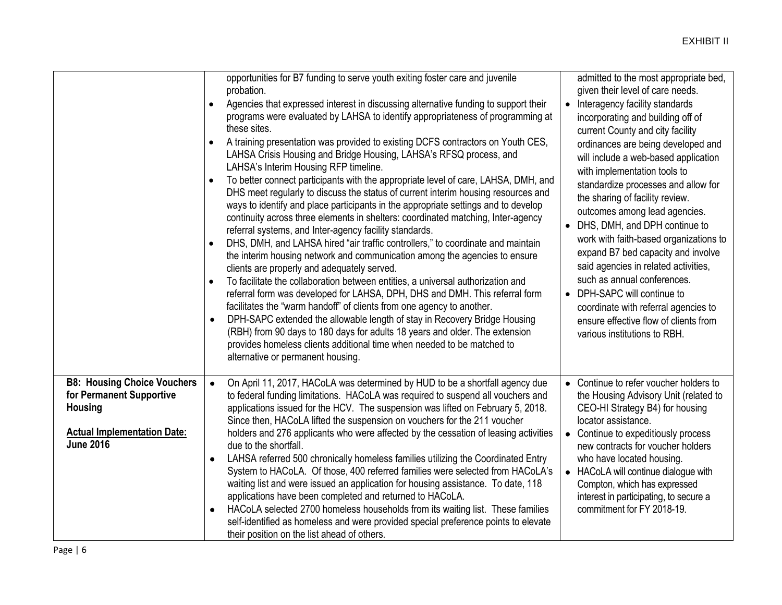|                                                                                                                                            | opportunities for B7 funding to serve youth exiting foster care and juvenile<br>probation.<br>Agencies that expressed interest in discussing alternative funding to support their<br>$\bullet$<br>programs were evaluated by LAHSA to identify appropriateness of programming at<br>these sites.<br>A training presentation was provided to existing DCFS contractors on Youth CES,<br>$\bullet$<br>LAHSA Crisis Housing and Bridge Housing, LAHSA's RFSQ process, and<br>LAHSA's Interim Housing RFP timeline.<br>To better connect participants with the appropriate level of care, LAHSA, DMH, and<br>$\bullet$<br>DHS meet regularly to discuss the status of current interim housing resources and<br>ways to identify and place participants in the appropriate settings and to develop<br>continuity across three elements in shelters: coordinated matching, Inter-agency<br>referral systems, and Inter-agency facility standards.<br>DHS, DMH, and LAHSA hired "air traffic controllers," to coordinate and maintain<br>the interim housing network and communication among the agencies to ensure<br>clients are properly and adequately served.<br>To facilitate the collaboration between entities, a universal authorization and<br>$\bullet$<br>referral form was developed for LAHSA, DPH, DHS and DMH. This referral form<br>facilitates the "warm handoff" of clients from one agency to another.<br>DPH-SAPC extended the allowable length of stay in Recovery Bridge Housing<br>$\bullet$<br>(RBH) from 90 days to 180 days for adults 18 years and older. The extension<br>provides homeless clients additional time when needed to be matched to<br>alternative or permanent housing. | admitted to the most appropriate bed,<br>given their level of care needs.<br>Interagency facility standards<br>incorporating and building off of<br>current County and city facility<br>ordinances are being developed and<br>will include a web-based application<br>with implementation tools to<br>standardize processes and allow for<br>the sharing of facility review.<br>outcomes among lead agencies.<br>• DHS, DMH, and DPH continue to<br>work with faith-based organizations to<br>expand B7 bed capacity and involve<br>said agencies in related activities,<br>such as annual conferences.<br>• DPH-SAPC will continue to<br>coordinate with referral agencies to<br>ensure effective flow of clients from<br>various institutions to RBH. |
|--------------------------------------------------------------------------------------------------------------------------------------------|-------------------------------------------------------------------------------------------------------------------------------------------------------------------------------------------------------------------------------------------------------------------------------------------------------------------------------------------------------------------------------------------------------------------------------------------------------------------------------------------------------------------------------------------------------------------------------------------------------------------------------------------------------------------------------------------------------------------------------------------------------------------------------------------------------------------------------------------------------------------------------------------------------------------------------------------------------------------------------------------------------------------------------------------------------------------------------------------------------------------------------------------------------------------------------------------------------------------------------------------------------------------------------------------------------------------------------------------------------------------------------------------------------------------------------------------------------------------------------------------------------------------------------------------------------------------------------------------------------------------------------------------------------------------------------------------------------------|---------------------------------------------------------------------------------------------------------------------------------------------------------------------------------------------------------------------------------------------------------------------------------------------------------------------------------------------------------------------------------------------------------------------------------------------------------------------------------------------------------------------------------------------------------------------------------------------------------------------------------------------------------------------------------------------------------------------------------------------------------|
| <b>B8: Housing Choice Vouchers</b><br>for Permanent Supportive<br><b>Housing</b><br><b>Actual Implementation Date:</b><br><b>June 2016</b> | On April 11, 2017, HACoLA was determined by HUD to be a shortfall agency due<br>$\bullet$<br>to federal funding limitations. HACoLA was required to suspend all vouchers and<br>applications issued for the HCV. The suspension was lifted on February 5, 2018.<br>Since then, HACoLA lifted the suspension on vouchers for the 211 voucher<br>holders and 276 applicants who were affected by the cessation of leasing activities<br>due to the shortfall.<br>LAHSA referred 500 chronically homeless families utilizing the Coordinated Entry<br>٠<br>System to HACoLA. Of those, 400 referred families were selected from HACoLA's<br>waiting list and were issued an application for housing assistance. To date, 118<br>applications have been completed and returned to HACoLA.<br>HACoLA selected 2700 homeless households from its waiting list. These families<br>$\bullet$<br>self-identified as homeless and were provided special preference points to elevate<br>their position on the list ahead of others.                                                                                                                                                                                                                                                                                                                                                                                                                                                                                                                                                                                                                                                                                   | • Continue to refer voucher holders to<br>the Housing Advisory Unit (related to<br>CEO-HI Strategy B4) for housing<br>locator assistance.<br>Continue to expeditiously process<br>new contracts for voucher holders<br>who have located housing.<br>• HACoLA will continue dialogue with<br>Compton, which has expressed<br>interest in participating, to secure a<br>commitment for FY 2018-19.                                                                                                                                                                                                                                                                                                                                                        |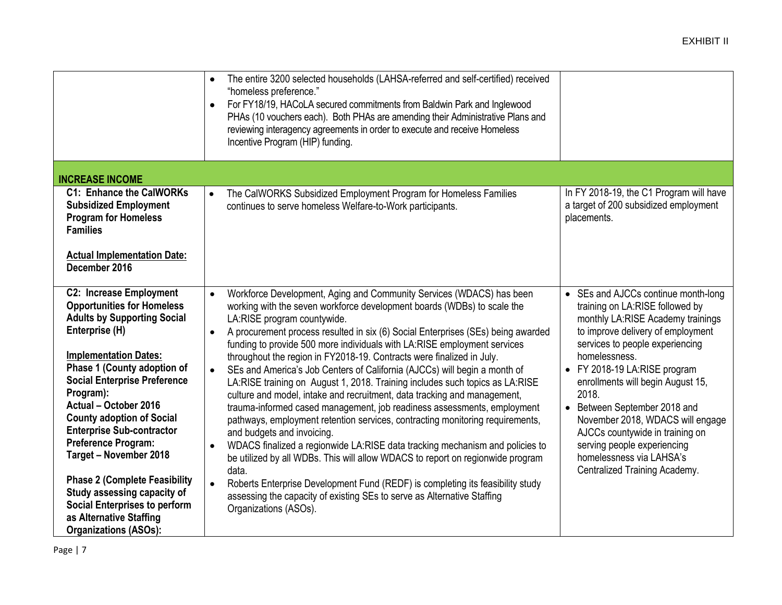|                                                                                                                                                                                                                                                                                                                                                                                                                                                                                                                                                                            | The entire 3200 selected households (LAHSA-referred and self-certified) received<br>$\bullet$<br>"homeless preference."<br>For FY18/19, HACoLA secured commitments from Baldwin Park and Inglewood<br>$\bullet$<br>PHAs (10 vouchers each). Both PHAs are amending their Administrative Plans and<br>reviewing interagency agreements in order to execute and receive Homeless<br>Incentive Program (HIP) funding.                                                                                                                                                                                                                                                                                                                                                                                                                                                                                                                                                                                                                                                                                                                                                                                                                                                              |                                                                                                                                                                                                                                                                                                                                                                                                                                                                                       |
|----------------------------------------------------------------------------------------------------------------------------------------------------------------------------------------------------------------------------------------------------------------------------------------------------------------------------------------------------------------------------------------------------------------------------------------------------------------------------------------------------------------------------------------------------------------------------|---------------------------------------------------------------------------------------------------------------------------------------------------------------------------------------------------------------------------------------------------------------------------------------------------------------------------------------------------------------------------------------------------------------------------------------------------------------------------------------------------------------------------------------------------------------------------------------------------------------------------------------------------------------------------------------------------------------------------------------------------------------------------------------------------------------------------------------------------------------------------------------------------------------------------------------------------------------------------------------------------------------------------------------------------------------------------------------------------------------------------------------------------------------------------------------------------------------------------------------------------------------------------------|---------------------------------------------------------------------------------------------------------------------------------------------------------------------------------------------------------------------------------------------------------------------------------------------------------------------------------------------------------------------------------------------------------------------------------------------------------------------------------------|
| <b>INCREASE INCOME</b>                                                                                                                                                                                                                                                                                                                                                                                                                                                                                                                                                     |                                                                                                                                                                                                                                                                                                                                                                                                                                                                                                                                                                                                                                                                                                                                                                                                                                                                                                                                                                                                                                                                                                                                                                                                                                                                                 |                                                                                                                                                                                                                                                                                                                                                                                                                                                                                       |
| <b>C1: Enhance the CalWORKs</b><br><b>Subsidized Employment</b><br><b>Program for Homeless</b><br><b>Families</b><br><b>Actual Implementation Date:</b><br>December 2016                                                                                                                                                                                                                                                                                                                                                                                                   | The CalWORKS Subsidized Employment Program for Homeless Families<br>$\bullet$<br>continues to serve homeless Welfare-to-Work participants.                                                                                                                                                                                                                                                                                                                                                                                                                                                                                                                                                                                                                                                                                                                                                                                                                                                                                                                                                                                                                                                                                                                                      | In FY 2018-19, the C1 Program will have<br>a target of 200 subsidized employment<br>placements.                                                                                                                                                                                                                                                                                                                                                                                       |
| <b>C2: Increase Employment</b><br><b>Opportunities for Homeless</b><br><b>Adults by Supporting Social</b><br>Enterprise (H)<br><b>Implementation Dates:</b><br>Phase 1 (County adoption of<br><b>Social Enterprise Preference</b><br>Program):<br>Actual - October 2016<br><b>County adoption of Social</b><br><b>Enterprise Sub-contractor</b><br>Preference Program:<br>Target - November 2018<br><b>Phase 2 (Complete Feasibility</b><br>Study assessing capacity of<br><b>Social Enterprises to perform</b><br>as Alternative Staffing<br><b>Organizations (ASOs):</b> | Workforce Development, Aging and Community Services (WDACS) has been<br>$\bullet$<br>working with the seven workforce development boards (WDBs) to scale the<br>LA:RISE program countywide.<br>A procurement process resulted in six (6) Social Enterprises (SEs) being awarded<br>$\bullet$<br>funding to provide 500 more individuals with LA:RISE employment services<br>throughout the region in FY2018-19. Contracts were finalized in July.<br>SEs and America's Job Centers of California (AJCCs) will begin a month of<br>LA:RISE training on August 1, 2018. Training includes such topics as LA:RISE<br>culture and model, intake and recruitment, data tracking and management,<br>trauma-informed cased management, job readiness assessments, employment<br>pathways, employment retention services, contracting monitoring requirements,<br>and budgets and invoicing.<br>WDACS finalized a regionwide LA:RISE data tracking mechanism and policies to<br>$\bullet$<br>be utilized by all WDBs. This will allow WDACS to report on regionwide program<br>data.<br>Roberts Enterprise Development Fund (REDF) is completing its feasibility study<br>$\bullet$<br>assessing the capacity of existing SEs to serve as Alternative Staffing<br>Organizations (ASOs). | • SEs and AJCCs continue month-long<br>training on LA:RISE followed by<br>monthly LA:RISE Academy trainings<br>to improve delivery of employment<br>services to people experiencing<br>homelessness.<br>• FY 2018-19 LA:RISE program<br>enrollments will begin August 15,<br>2018.<br>• Between September 2018 and<br>November 2018, WDACS will engage<br>AJCCs countywide in training on<br>serving people experiencing<br>homelessness via LAHSA's<br>Centralized Training Academy. |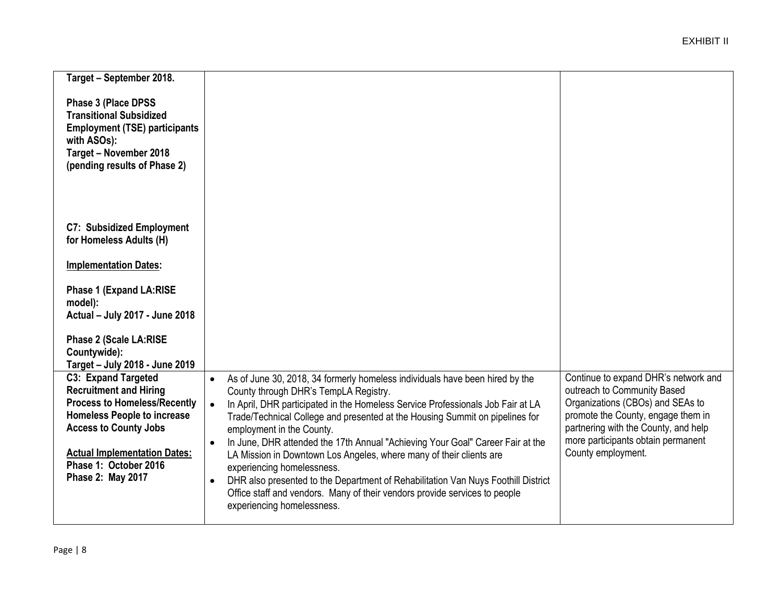| Target - September 2018.             |                                                                                                |                                      |
|--------------------------------------|------------------------------------------------------------------------------------------------|--------------------------------------|
|                                      |                                                                                                |                                      |
| Phase 3 (Place DPSS                  |                                                                                                |                                      |
| <b>Transitional Subsidized</b>       |                                                                                                |                                      |
| <b>Employment (TSE) participants</b> |                                                                                                |                                      |
| with ASOs):                          |                                                                                                |                                      |
| Target - November 2018               |                                                                                                |                                      |
| (pending results of Phase 2)         |                                                                                                |                                      |
|                                      |                                                                                                |                                      |
|                                      |                                                                                                |                                      |
|                                      |                                                                                                |                                      |
| <b>C7: Subsidized Employment</b>     |                                                                                                |                                      |
| for Homeless Adults (H)              |                                                                                                |                                      |
|                                      |                                                                                                |                                      |
| <b>Implementation Dates:</b>         |                                                                                                |                                      |
|                                      |                                                                                                |                                      |
| Phase 1 (Expand LA:RISE              |                                                                                                |                                      |
| model):                              |                                                                                                |                                      |
| Actual - July 2017 - June 2018       |                                                                                                |                                      |
| Phase 2 (Scale LA:RISE               |                                                                                                |                                      |
| Countywide):                         |                                                                                                |                                      |
| Target - July 2018 - June 2019       |                                                                                                |                                      |
| C3: Expand Targeted                  | As of June 30, 2018, 34 formerly homeless individuals have been hired by the<br>$\bullet$      | Continue to expand DHR's network and |
| <b>Recruitment and Hiring</b>        | County through DHR's TempLA Registry.                                                          | outreach to Community Based          |
| <b>Process to Homeless/Recently</b>  | In April, DHR participated in the Homeless Service Professionals Job Fair at LA<br>$\bullet$   | Organizations (CBOs) and SEAs to     |
| <b>Homeless People to increase</b>   | Trade/Technical College and presented at the Housing Summit on pipelines for                   | promote the County, engage them in   |
| <b>Access to County Jobs</b>         | employment in the County.                                                                      | partnering with the County, and help |
|                                      | In June, DHR attended the 17th Annual "Achieving Your Goal" Career Fair at the<br>$\bullet$    | more participants obtain permanent   |
| <b>Actual Implementation Dates:</b>  | LA Mission in Downtown Los Angeles, where many of their clients are                            | County employment.                   |
| Phase 1: October 2016                | experiencing homelessness.                                                                     |                                      |
| Phase 2: May 2017                    | DHR also presented to the Department of Rehabilitation Van Nuys Foothill District<br>$\bullet$ |                                      |
|                                      | Office staff and vendors. Many of their vendors provide services to people                     |                                      |
|                                      | experiencing homelessness.                                                                     |                                      |
|                                      |                                                                                                |                                      |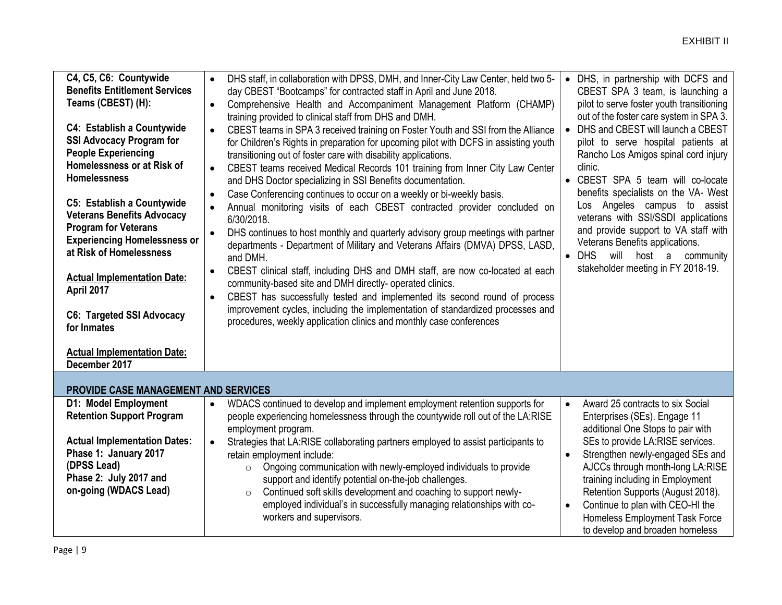| C4, C5, C6: Countywide<br><b>Benefits Entitlement Services</b><br>Teams (CBEST) (H):<br><b>C4: Establish a Countywide</b><br><b>SSI Advocacy Program for</b><br><b>People Experiencing</b><br>Homelessness or at Risk of<br><b>Homelessness</b><br><b>C5: Establish a Countywide</b><br><b>Veterans Benefits Advocacy</b><br><b>Program for Veterans</b><br><b>Experiencing Homelessness or</b><br>at Risk of Homelessness<br><b>Actual Implementation Date:</b><br>April 2017<br><b>C6: Targeted SSI Advocacy</b><br>for Inmates | DHS staff, in collaboration with DPSS, DMH, and Inner-City Law Center, held two 5-<br>$\bullet$<br>day CBEST "Bootcamps" for contracted staff in April and June 2018.<br>Comprehensive Health and Accompaniment Management Platform (CHAMP)<br>$\bullet$<br>training provided to clinical staff from DHS and DMH.<br>CBEST teams in SPA 3 received training on Foster Youth and SSI from the Alliance<br>for Children's Rights in preparation for upcoming pilot with DCFS in assisting youth<br>transitioning out of foster care with disability applications.<br>CBEST teams received Medical Records 101 training from Inner City Law Center<br>$\bullet$<br>and DHS Doctor specializing in SSI Benefits documentation.<br>Case Conferencing continues to occur on a weekly or bi-weekly basis.<br>$\bullet$<br>Annual monitoring visits of each CBEST contracted provider concluded on<br>6/30/2018.<br>DHS continues to host monthly and quarterly advisory group meetings with partner<br>$\bullet$<br>departments - Department of Military and Veterans Affairs (DMVA) DPSS, LASD,<br>and DMH.<br>CBEST clinical staff, including DHS and DMH staff, are now co-located at each<br>$\bullet$<br>community-based site and DMH directly- operated clinics.<br>CBEST has successfully tested and implemented its second round of process<br>$\bullet$<br>improvement cycles, including the implementation of standardized processes and<br>procedures, weekly application clinics and monthly case conferences | DHS, in partnership with DCFS and<br>$\bullet$<br>CBEST SPA 3 team, is launching a<br>pilot to serve foster youth transitioning<br>out of the foster care system in SPA 3.<br>DHS and CBEST will launch a CBEST<br>$\bullet$<br>pilot to serve hospital patients at<br>Rancho Los Amigos spinal cord injury<br>clinic.<br>• CBEST SPA 5 team will co-locate<br>benefits specialists on the VA- West<br>Los Angeles campus to assist<br>veterans with SSI/SSDI applications<br>and provide support to VA staff with<br>Veterans Benefits applications.<br>$\bullet$ DHS<br>will host<br>a<br>community<br>stakeholder meeting in FY 2018-19. |
|-----------------------------------------------------------------------------------------------------------------------------------------------------------------------------------------------------------------------------------------------------------------------------------------------------------------------------------------------------------------------------------------------------------------------------------------------------------------------------------------------------------------------------------|--------------------------------------------------------------------------------------------------------------------------------------------------------------------------------------------------------------------------------------------------------------------------------------------------------------------------------------------------------------------------------------------------------------------------------------------------------------------------------------------------------------------------------------------------------------------------------------------------------------------------------------------------------------------------------------------------------------------------------------------------------------------------------------------------------------------------------------------------------------------------------------------------------------------------------------------------------------------------------------------------------------------------------------------------------------------------------------------------------------------------------------------------------------------------------------------------------------------------------------------------------------------------------------------------------------------------------------------------------------------------------------------------------------------------------------------------------------------------------------------------------------------|---------------------------------------------------------------------------------------------------------------------------------------------------------------------------------------------------------------------------------------------------------------------------------------------------------------------------------------------------------------------------------------------------------------------------------------------------------------------------------------------------------------------------------------------------------------------------------------------------------------------------------------------|
| <b>Actual Implementation Date:</b><br>December 2017                                                                                                                                                                                                                                                                                                                                                                                                                                                                               |                                                                                                                                                                                                                                                                                                                                                                                                                                                                                                                                                                                                                                                                                                                                                                                                                                                                                                                                                                                                                                                                                                                                                                                                                                                                                                                                                                                                                                                                                                                    |                                                                                                                                                                                                                                                                                                                                                                                                                                                                                                                                                                                                                                             |
| PROVIDE CASE MANAGEMENT AND SERVICES                                                                                                                                                                                                                                                                                                                                                                                                                                                                                              |                                                                                                                                                                                                                                                                                                                                                                                                                                                                                                                                                                                                                                                                                                                                                                                                                                                                                                                                                                                                                                                                                                                                                                                                                                                                                                                                                                                                                                                                                                                    |                                                                                                                                                                                                                                                                                                                                                                                                                                                                                                                                                                                                                                             |
| D1: Model Employment<br><b>Retention Support Program</b>                                                                                                                                                                                                                                                                                                                                                                                                                                                                          | WDACS continued to develop and implement employment retention supports for<br>$\bullet$<br>people experiencing homelessness through the countywide roll out of the LA:RISE<br>employment program.                                                                                                                                                                                                                                                                                                                                                                                                                                                                                                                                                                                                                                                                                                                                                                                                                                                                                                                                                                                                                                                                                                                                                                                                                                                                                                                  | Award 25 contracts to six Social<br>$\bullet$<br>Enterprises (SEs). Engage 11<br>additional One Stops to pair with                                                                                                                                                                                                                                                                                                                                                                                                                                                                                                                          |
| <b>Actual Implementation Dates:</b><br>Phase 1: January 2017<br>(DPSS Lead)<br>Phase 2: July 2017 and<br>on-going (WDACS Lead)                                                                                                                                                                                                                                                                                                                                                                                                    | Strategies that LA:RISE collaborating partners employed to assist participants to<br>$\bullet$<br>retain employment include:<br>Ongoing communication with newly-employed individuals to provide<br>$\circ$<br>support and identify potential on-the-job challenges.<br>Continued soft skills development and coaching to support newly-<br>$\circ$<br>employed individual's in successfully managing relationships with co-<br>workers and supervisors.                                                                                                                                                                                                                                                                                                                                                                                                                                                                                                                                                                                                                                                                                                                                                                                                                                                                                                                                                                                                                                                           | SEs to provide LA:RISE services.<br>Strengthen newly-engaged SEs and<br>$\bullet$<br>AJCCs through month-long LA:RISE<br>training including in Employment<br>Retention Supports (August 2018).<br>Continue to plan with CEO-HI the<br>$\bullet$<br>Homeless Employment Task Force<br>to develop and broaden homeless                                                                                                                                                                                                                                                                                                                        |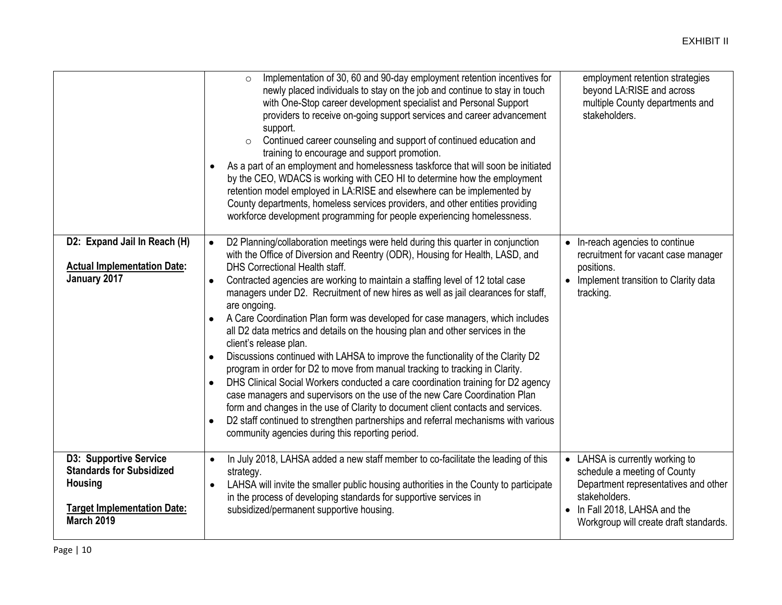|                                                                                                                                        | Implementation of 30, 60 and 90-day employment retention incentives for<br>newly placed individuals to stay on the job and continue to stay in touch<br>with One-Stop career development specialist and Personal Support<br>providers to receive on-going support services and career advancement<br>support.<br>Continued career counseling and support of continued education and<br>$\circ$<br>training to encourage and support promotion.<br>As a part of an employment and homelessness taskforce that will soon be initiated<br>$\bullet$<br>by the CEO, WDACS is working with CEO HI to determine how the employment<br>retention model employed in LA:RISE and elsewhere can be implemented by<br>County departments, homeless services providers, and other entities providing<br>workforce development programming for people experiencing homelessness.                                                                                                                                                                                                                                                                                                                            | employment retention strategies<br>beyond LA:RISE and across<br>multiple County departments and<br>stakeholders.                                                                                    |
|----------------------------------------------------------------------------------------------------------------------------------------|------------------------------------------------------------------------------------------------------------------------------------------------------------------------------------------------------------------------------------------------------------------------------------------------------------------------------------------------------------------------------------------------------------------------------------------------------------------------------------------------------------------------------------------------------------------------------------------------------------------------------------------------------------------------------------------------------------------------------------------------------------------------------------------------------------------------------------------------------------------------------------------------------------------------------------------------------------------------------------------------------------------------------------------------------------------------------------------------------------------------------------------------------------------------------------------------|-----------------------------------------------------------------------------------------------------------------------------------------------------------------------------------------------------|
| D2: Expand Jail In Reach (H)<br><b>Actual Implementation Date:</b><br>January 2017                                                     | D2 Planning/collaboration meetings were held during this quarter in conjunction<br>with the Office of Diversion and Reentry (ODR), Housing for Health, LASD, and<br>DHS Correctional Health staff.<br>Contracted agencies are working to maintain a staffing level of 12 total case<br>managers under D2. Recruitment of new hires as well as jail clearances for staff,<br>are ongoing.<br>A Care Coordination Plan form was developed for case managers, which includes<br>all D2 data metrics and details on the housing plan and other services in the<br>client's release plan.<br>Discussions continued with LAHSA to improve the functionality of the Clarity D2<br>$\bullet$<br>program in order for D2 to move from manual tracking to tracking in Clarity.<br>DHS Clinical Social Workers conducted a care coordination training for D2 agency<br>$\bullet$<br>case managers and supervisors on the use of the new Care Coordination Plan<br>form and changes in the use of Clarity to document client contacts and services.<br>D2 staff continued to strengthen partnerships and referral mechanisms with various<br>$\bullet$<br>community agencies during this reporting period. | • In-reach agencies to continue<br>recruitment for vacant case manager<br>positions.<br>• Implement transition to Clarity data<br>tracking.                                                         |
| D3: Supportive Service<br><b>Standards for Subsidized</b><br><b>Housing</b><br><b>Target Implementation Date:</b><br><b>March 2019</b> | In July 2018, LAHSA added a new staff member to co-facilitate the leading of this<br>$\bullet$<br>strategy.<br>LAHSA will invite the smaller public housing authorities in the County to participate<br>$\bullet$<br>in the process of developing standards for supportive services in<br>subsidized/permanent supportive housing.                                                                                                                                                                                                                                                                                                                                                                                                                                                                                                                                                                                                                                                                                                                                                                                                                                                             | • LAHSA is currently working to<br>schedule a meeting of County<br>Department representatives and other<br>stakeholders.<br>• In Fall 2018, LAHSA and the<br>Workgroup will create draft standards. |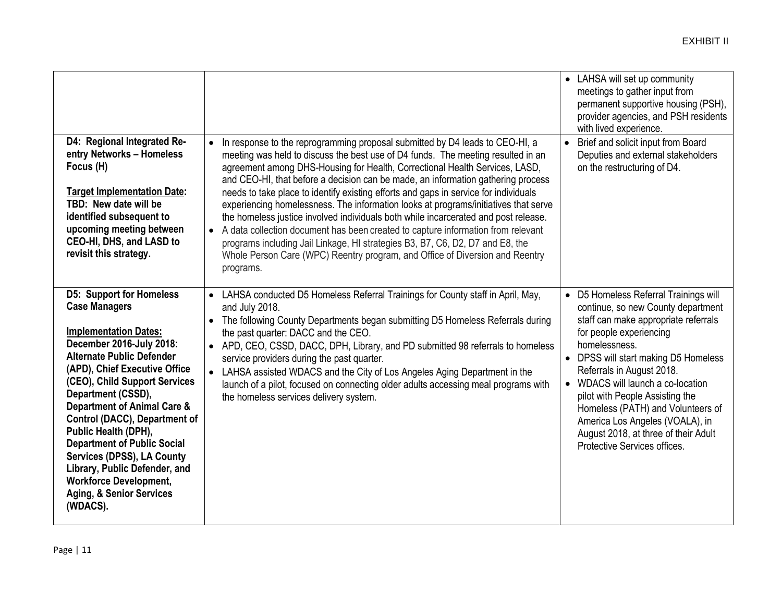|                                                                                                                                                                                                                                                                                                                                                                                                                                                                                                                                             |                                                                                                                                                                                                                                                                                                                                                                                                                                                                                                                                                                                                                                                                                                                                                                                                                                                                                          | • LAHSA will set up community<br>meetings to gather input from<br>permanent supportive housing (PSH),<br>provider agencies, and PSH residents<br>with lived experience.                                                                                                                                                                                                                                                                                      |
|---------------------------------------------------------------------------------------------------------------------------------------------------------------------------------------------------------------------------------------------------------------------------------------------------------------------------------------------------------------------------------------------------------------------------------------------------------------------------------------------------------------------------------------------|------------------------------------------------------------------------------------------------------------------------------------------------------------------------------------------------------------------------------------------------------------------------------------------------------------------------------------------------------------------------------------------------------------------------------------------------------------------------------------------------------------------------------------------------------------------------------------------------------------------------------------------------------------------------------------------------------------------------------------------------------------------------------------------------------------------------------------------------------------------------------------------|--------------------------------------------------------------------------------------------------------------------------------------------------------------------------------------------------------------------------------------------------------------------------------------------------------------------------------------------------------------------------------------------------------------------------------------------------------------|
| D4: Regional Integrated Re-<br>entry Networks - Homeless<br>Focus (H)<br><b>Target Implementation Date:</b><br>TBD: New date will be<br>identified subsequent to<br>upcoming meeting between<br>CEO-HI, DHS, and LASD to<br>revisit this strategy.                                                                                                                                                                                                                                                                                          | In response to the reprogramming proposal submitted by D4 leads to CEO-HI, a<br>meeting was held to discuss the best use of D4 funds. The meeting resulted in an<br>agreement among DHS-Housing for Health, Correctional Health Services, LASD,<br>and CEO-HI, that before a decision can be made, an information gathering process<br>needs to take place to identify existing efforts and gaps in service for individuals<br>experiencing homelessness. The information looks at programs/initiatives that serve<br>the homeless justice involved individuals both while incarcerated and post release.<br>A data collection document has been created to capture information from relevant<br>$\bullet$<br>programs including Jail Linkage, HI strategies B3, B7, C6, D2, D7 and E8, the<br>Whole Person Care (WPC) Reentry program, and Office of Diversion and Reentry<br>programs. | Brief and solicit input from Board<br>$\bullet$<br>Deputies and external stakeholders<br>on the restructuring of D4.                                                                                                                                                                                                                                                                                                                                         |
| <b>D5: Support for Homeless</b><br><b>Case Managers</b><br><b>Implementation Dates:</b><br>December 2016-July 2018:<br><b>Alternate Public Defender</b><br>(APD), Chief Executive Office<br>(CEO), Child Support Services<br>Department (CSSD),<br><b>Department of Animal Care &amp;</b><br>Control (DACC), Department of<br>Public Health (DPH),<br><b>Department of Public Social</b><br>Services (DPSS), LA County<br>Library, Public Defender, and<br><b>Workforce Development,</b><br><b>Aging, &amp; Senior Services</b><br>(WDACS). | • LAHSA conducted D5 Homeless Referral Trainings for County staff in April, May,<br>and July 2018.<br>The following County Departments began submitting D5 Homeless Referrals during<br>$\bullet$<br>the past quarter: DACC and the CEO.<br>• APD, CEO, CSSD, DACC, DPH, Library, and PD submitted 98 referrals to homeless<br>service providers during the past quarter.<br>• LAHSA assisted WDACS and the City of Los Angeles Aging Department in the<br>launch of a pilot, focused on connecting older adults accessing meal programs with<br>the homeless services delivery system.                                                                                                                                                                                                                                                                                                  | • D5 Homeless Referral Trainings will<br>continue, so new County department<br>staff can make appropriate referrals<br>for people experiencing<br>homelessness.<br>• DPSS will start making D5 Homeless<br>Referrals in August 2018.<br>• WDACS will launch a co-location<br>pilot with People Assisting the<br>Homeless (PATH) and Volunteers of<br>America Los Angeles (VOALA), in<br>August 2018, at three of their Adult<br>Protective Services offices. |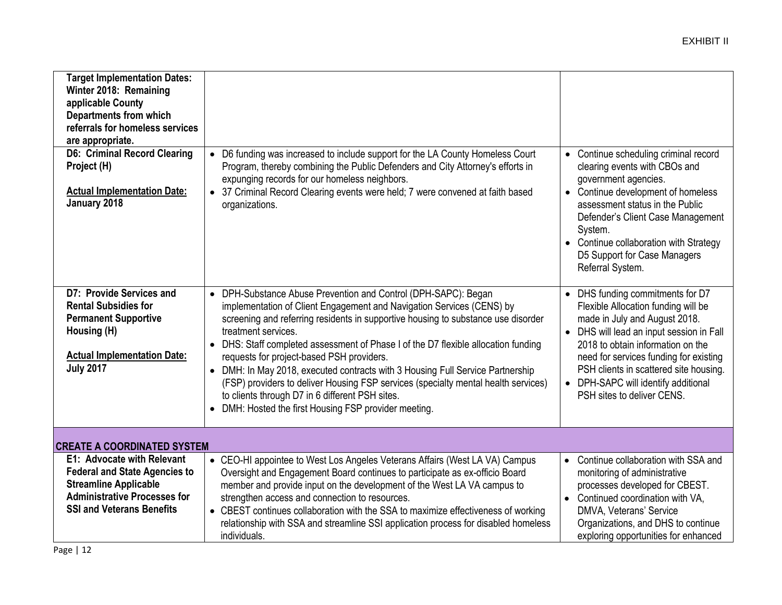| <b>Target Implementation Dates:</b><br>Winter 2018: Remaining<br>applicable County<br><b>Departments from which</b><br>referrals for homeless services<br>are appropriate.<br><b>D6: Criminal Record Clearing</b><br>Project (H)<br><b>Actual Implementation Date:</b><br>January 2018 | D6 funding was increased to include support for the LA County Homeless Court<br>$\bullet$<br>Program, thereby combining the Public Defenders and City Attorney's efforts in<br>expunging records for our homeless neighbors.<br>• 37 Criminal Record Clearing events were held; 7 were convened at faith based<br>organizations.                                                                                                                                                                                                                                                                                                                                                                          | • Continue scheduling criminal record<br>clearing events with CBOs and<br>government agencies.<br>• Continue development of homeless<br>assessment status in the Public<br>Defender's Client Case Management<br>System.<br>• Continue collaboration with Strategy<br>D5 Support for Case Managers<br>Referral System.                                         |
|----------------------------------------------------------------------------------------------------------------------------------------------------------------------------------------------------------------------------------------------------------------------------------------|-----------------------------------------------------------------------------------------------------------------------------------------------------------------------------------------------------------------------------------------------------------------------------------------------------------------------------------------------------------------------------------------------------------------------------------------------------------------------------------------------------------------------------------------------------------------------------------------------------------------------------------------------------------------------------------------------------------|---------------------------------------------------------------------------------------------------------------------------------------------------------------------------------------------------------------------------------------------------------------------------------------------------------------------------------------------------------------|
| D7: Provide Services and<br><b>Rental Subsidies for</b><br><b>Permanent Supportive</b><br>Housing (H)<br><b>Actual Implementation Date:</b><br><b>July 2017</b>                                                                                                                        | DPH-Substance Abuse Prevention and Control (DPH-SAPC): Began<br>$\bullet$<br>implementation of Client Engagement and Navigation Services (CENS) by<br>screening and referring residents in supportive housing to substance use disorder<br>treatment services.<br>DHS: Staff completed assessment of Phase I of the D7 flexible allocation funding<br>$\bullet$<br>requests for project-based PSH providers.<br>DMH: In May 2018, executed contracts with 3 Housing Full Service Partnership<br>$\bullet$<br>(FSP) providers to deliver Housing FSP services (specialty mental health services)<br>to clients through D7 in 6 different PSH sites.<br>DMH: Hosted the first Housing FSP provider meeting. | • DHS funding commitments for D7<br>Flexible Allocation funding will be<br>made in July and August 2018.<br>DHS will lead an input session in Fall<br>$\bullet$<br>2018 to obtain information on the<br>need for services funding for existing<br>PSH clients in scattered site housing.<br>• DPH-SAPC will identify additional<br>PSH sites to deliver CENS. |
| <b>CREATE A COORDINATED SYSTEM</b>                                                                                                                                                                                                                                                     |                                                                                                                                                                                                                                                                                                                                                                                                                                                                                                                                                                                                                                                                                                           |                                                                                                                                                                                                                                                                                                                                                               |
| E1: Advocate with Relevant<br><b>Federal and State Agencies to</b><br><b>Streamline Applicable</b><br><b>Administrative Processes for</b><br><b>SSI and Veterans Benefits</b>                                                                                                          | • CEO-HI appointee to West Los Angeles Veterans Affairs (West LA VA) Campus<br>Oversight and Engagement Board continues to participate as ex-officio Board<br>member and provide input on the development of the West LA VA campus to<br>strengthen access and connection to resources.<br>• CBEST continues collaboration with the SSA to maximize effectiveness of working<br>relationship with SSA and streamline SSI application process for disabled homeless<br>individuals.                                                                                                                                                                                                                        | Continue collaboration with SSA and<br>$\bullet$<br>monitoring of administrative<br>processes developed for CBEST.<br>Continued coordination with VA.<br>$\bullet$<br>DMVA, Veterans' Service<br>Organizations, and DHS to continue<br>exploring opportunities for enhanced                                                                                   |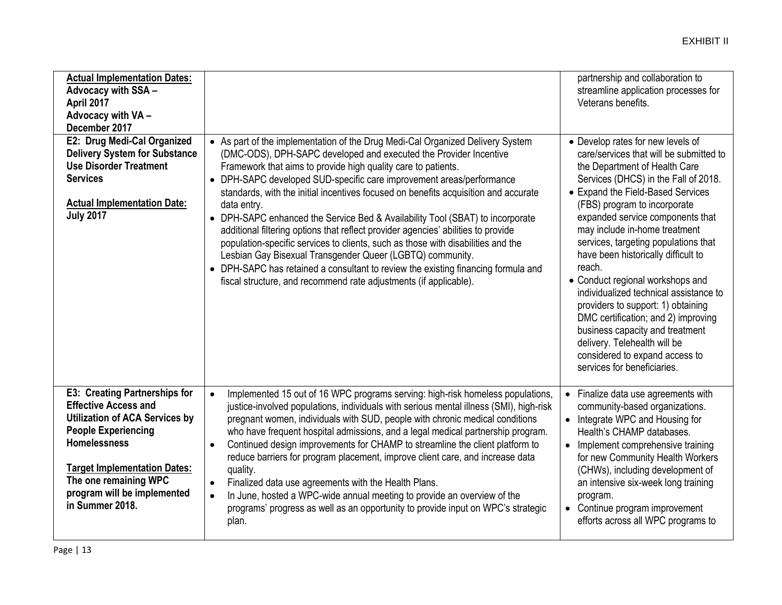| <b>Actual Implementation Dates:</b><br>Advocacy with SSA -<br>April 2017<br>Advocacy with VA -<br>December 2017                                                                                                                                                                     |                                                                                                                                                                                                                                                                                                                                                                                                                                                                                                                                                                                                                                                                                                                                                                                                                                                                                                | partnership and collaboration to<br>streamline application processes for<br>Veterans benefits.                                                                                                                                                                                                                                                                                                                                                                                                                                                                                                                                                                                          |
|-------------------------------------------------------------------------------------------------------------------------------------------------------------------------------------------------------------------------------------------------------------------------------------|------------------------------------------------------------------------------------------------------------------------------------------------------------------------------------------------------------------------------------------------------------------------------------------------------------------------------------------------------------------------------------------------------------------------------------------------------------------------------------------------------------------------------------------------------------------------------------------------------------------------------------------------------------------------------------------------------------------------------------------------------------------------------------------------------------------------------------------------------------------------------------------------|-----------------------------------------------------------------------------------------------------------------------------------------------------------------------------------------------------------------------------------------------------------------------------------------------------------------------------------------------------------------------------------------------------------------------------------------------------------------------------------------------------------------------------------------------------------------------------------------------------------------------------------------------------------------------------------------|
| E2: Drug Medi-Cal Organized<br><b>Delivery System for Substance</b><br><b>Use Disorder Treatment</b><br><b>Services</b><br><b>Actual Implementation Date:</b><br><b>July 2017</b>                                                                                                   | • As part of the implementation of the Drug Medi-Cal Organized Delivery System<br>(DMC-ODS), DPH-SAPC developed and executed the Provider Incentive<br>Framework that aims to provide high quality care to patients.<br>DPH-SAPC developed SUD-specific care improvement areas/performance<br>$\bullet$<br>standards, with the initial incentives focused on benefits acquisition and accurate<br>data entry.<br>• DPH-SAPC enhanced the Service Bed & Availability Tool (SBAT) to incorporate<br>additional filtering options that reflect provider agencies' abilities to provide<br>population-specific services to clients, such as those with disabilities and the<br>Lesbian Gay Bisexual Transgender Queer (LGBTQ) community.<br>• DPH-SAPC has retained a consultant to review the existing financing formula and<br>fiscal structure, and recommend rate adjustments (if applicable). | • Develop rates for new levels of<br>care/services that will be submitted to<br>the Department of Health Care<br>Services (DHCS) in the Fall of 2018.<br>• Expand the Field-Based Services<br>(FBS) program to incorporate<br>expanded service components that<br>may include in-home treatment<br>services, targeting populations that<br>have been historically difficult to<br>reach.<br>• Conduct regional workshops and<br>individualized technical assistance to<br>providers to support: 1) obtaining<br>DMC certification; and 2) improving<br>business capacity and treatment<br>delivery. Telehealth will be<br>considered to expand access to<br>services for beneficiaries. |
| <b>E3: Creating Partnerships for</b><br><b>Effective Access and</b><br><b>Utilization of ACA Services by</b><br><b>People Experiencing</b><br><b>Homelessness</b><br><b>Target Implementation Dates:</b><br>The one remaining WPC<br>program will be implemented<br>in Summer 2018. | Implemented 15 out of 16 WPC programs serving: high-risk homeless populations,<br>$\bullet$<br>justice-involved populations, individuals with serious mental illness (SMI), high-risk<br>pregnant women, individuals with SUD, people with chronic medical conditions<br>who have frequent hospital admissions, and a legal medical partnership program.<br>Continued design improvements for CHAMP to streamline the client platform to<br>$\bullet$<br>reduce barriers for program placement, improve client care, and increase data<br>quality.<br>Finalized data use agreements with the Health Plans.<br>$\bullet$<br>In June, hosted a WPC-wide annual meeting to provide an overview of the<br>$\bullet$<br>programs' progress as well as an opportunity to provide input on WPC's strategic<br>plan.                                                                                   | Finalize data use agreements with<br>$\bullet$<br>community-based organizations.<br>• Integrate WPC and Housing for<br>Health's CHAMP databases.<br>Implement comprehensive training<br>for new Community Health Workers<br>(CHWs), including development of<br>an intensive six-week long training<br>program.<br>• Continue program improvement<br>efforts across all WPC programs to                                                                                                                                                                                                                                                                                                 |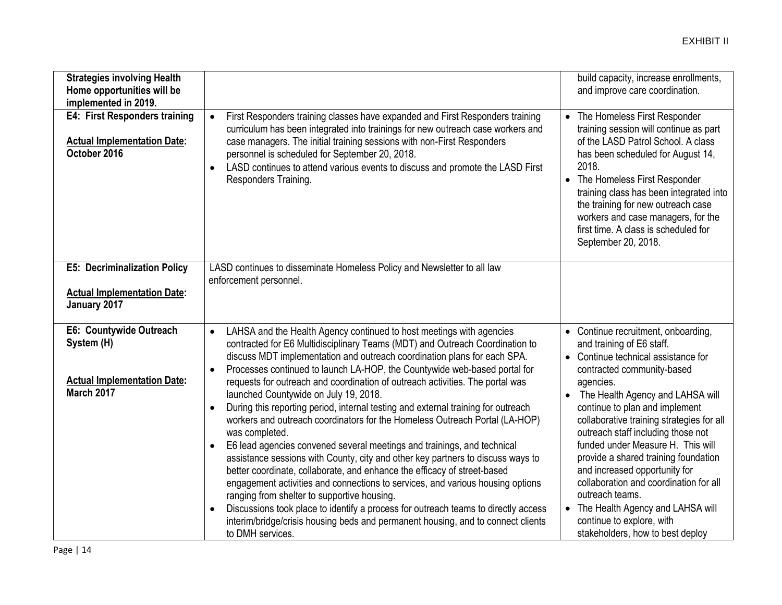| <b>Strategies involving Health</b><br>Home opportunities will be<br>implemented in 2019.         |                                                                                                                                                                                                                                                                                                                                                                                                                                                                                                                                                                                                                                                                                                                                                                                                                                                                                                                                                                                                                                                                                                                                                                                                                                                                         | build capacity, increase enrollments,<br>and improve care coordination.                                                                                                                                                                                                                                                                                                                                                                                                                                                                                                                                    |
|--------------------------------------------------------------------------------------------------|-------------------------------------------------------------------------------------------------------------------------------------------------------------------------------------------------------------------------------------------------------------------------------------------------------------------------------------------------------------------------------------------------------------------------------------------------------------------------------------------------------------------------------------------------------------------------------------------------------------------------------------------------------------------------------------------------------------------------------------------------------------------------------------------------------------------------------------------------------------------------------------------------------------------------------------------------------------------------------------------------------------------------------------------------------------------------------------------------------------------------------------------------------------------------------------------------------------------------------------------------------------------------|------------------------------------------------------------------------------------------------------------------------------------------------------------------------------------------------------------------------------------------------------------------------------------------------------------------------------------------------------------------------------------------------------------------------------------------------------------------------------------------------------------------------------------------------------------------------------------------------------------|
| E4: First Responders training<br><b>Actual Implementation Date:</b><br>October 2016              | First Responders training classes have expanded and First Responders training<br>$\bullet$<br>curriculum has been integrated into trainings for new outreach case workers and<br>case managers. The initial training sessions with non-First Responders<br>personnel is scheduled for September 20, 2018.<br>LASD continues to attend various events to discuss and promote the LASD First<br>$\bullet$<br>Responders Training.                                                                                                                                                                                                                                                                                                                                                                                                                                                                                                                                                                                                                                                                                                                                                                                                                                         | The Homeless First Responder<br>$\bullet$<br>training session will continue as part<br>of the LASD Patrol School. A class<br>has been scheduled for August 14,<br>2018.<br>• The Homeless First Responder<br>training class has been integrated into<br>the training for new outreach case<br>workers and case managers, for the<br>first time. A class is scheduled for<br>September 20, 2018.                                                                                                                                                                                                            |
| <b>E5: Decriminalization Policy</b><br><b>Actual Implementation Date:</b><br>January 2017        | LASD continues to disseminate Homeless Policy and Newsletter to all law<br>enforcement personnel.                                                                                                                                                                                                                                                                                                                                                                                                                                                                                                                                                                                                                                                                                                                                                                                                                                                                                                                                                                                                                                                                                                                                                                       |                                                                                                                                                                                                                                                                                                                                                                                                                                                                                                                                                                                                            |
| E6: Countywide Outreach<br>System (H)<br><b>Actual Implementation Date:</b><br><b>March 2017</b> | LAHSA and the Health Agency continued to host meetings with agencies<br>$\bullet$<br>contracted for E6 Multidisciplinary Teams (MDT) and Outreach Coordination to<br>discuss MDT implementation and outreach coordination plans for each SPA.<br>Processes continued to launch LA-HOP, the Countywide web-based portal for<br>$\bullet$<br>requests for outreach and coordination of outreach activities. The portal was<br>launched Countywide on July 19, 2018.<br>During this reporting period, internal testing and external training for outreach<br>$\bullet$<br>workers and outreach coordinators for the Homeless Outreach Portal (LA-HOP)<br>was completed.<br>E6 lead agencies convened several meetings and trainings, and technical<br>$\bullet$<br>assistance sessions with County, city and other key partners to discuss ways to<br>better coordinate, collaborate, and enhance the efficacy of street-based<br>engagement activities and connections to services, and various housing options<br>ranging from shelter to supportive housing.<br>Discussions took place to identify a process for outreach teams to directly access<br>$\bullet$<br>interim/bridge/crisis housing beds and permanent housing, and to connect clients<br>to DMH services. | • Continue recruitment, onboarding,<br>and training of E6 staff.<br>• Continue technical assistance for<br>contracted community-based<br>agencies.<br>The Health Agency and LAHSA will<br>$\bullet$<br>continue to plan and implement<br>collaborative training strategies for all<br>outreach staff including those not<br>funded under Measure H. This will<br>provide a shared training foundation<br>and increased opportunity for<br>collaboration and coordination for all<br>outreach teams.<br>• The Health Agency and LAHSA will<br>continue to explore, with<br>stakeholders, how to best deploy |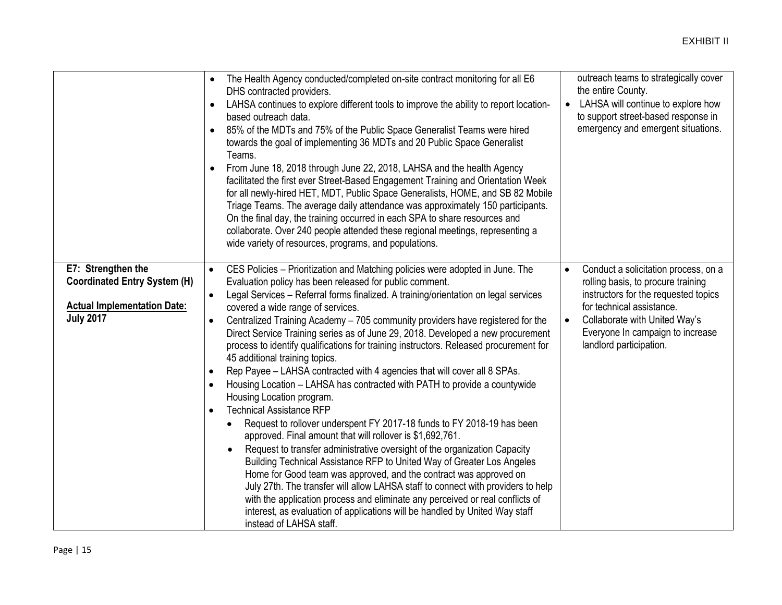|                                                                                                                     | The Health Agency conducted/completed on-site contract monitoring for all E6<br>$\bullet$<br>DHS contracted providers.<br>LAHSA continues to explore different tools to improve the ability to report location-<br>$\bullet$<br>based outreach data.<br>85% of the MDTs and 75% of the Public Space Generalist Teams were hired<br>$\bullet$<br>towards the goal of implementing 36 MDTs and 20 Public Space Generalist<br>Teams.<br>From June 18, 2018 through June 22, 2018, LAHSA and the health Agency<br>$\bullet$<br>facilitated the first ever Street-Based Engagement Training and Orientation Week<br>for all newly-hired HET, MDT, Public Space Generalists, HOME, and SB 82 Mobile<br>Triage Teams. The average daily attendance was approximately 150 participants.<br>On the final day, the training occurred in each SPA to share resources and<br>collaborate. Over 240 people attended these regional meetings, representing a<br>wide variety of resources, programs, and populations.                                                                                                                                                                                                                                                                                                                                                                                                                                                                                                                                    | outreach teams to strategically cover<br>the entire County.<br>LAHSA will continue to explore how<br>$\bullet$<br>to support street-based response in<br>emergency and emergent situations.                                                                  |
|---------------------------------------------------------------------------------------------------------------------|--------------------------------------------------------------------------------------------------------------------------------------------------------------------------------------------------------------------------------------------------------------------------------------------------------------------------------------------------------------------------------------------------------------------------------------------------------------------------------------------------------------------------------------------------------------------------------------------------------------------------------------------------------------------------------------------------------------------------------------------------------------------------------------------------------------------------------------------------------------------------------------------------------------------------------------------------------------------------------------------------------------------------------------------------------------------------------------------------------------------------------------------------------------------------------------------------------------------------------------------------------------------------------------------------------------------------------------------------------------------------------------------------------------------------------------------------------------------------------------------------------------------------------------------|--------------------------------------------------------------------------------------------------------------------------------------------------------------------------------------------------------------------------------------------------------------|
| E7: Strengthen the<br><b>Coordinated Entry System (H)</b><br><b>Actual Implementation Date:</b><br><b>July 2017</b> | CES Policies - Prioritization and Matching policies were adopted in June. The<br>$\bullet$<br>Evaluation policy has been released for public comment.<br>Legal Services - Referral forms finalized. A training/orientation on legal services<br>$\bullet$<br>covered a wide range of services.<br>Centralized Training Academy - 705 community providers have registered for the<br>$\bullet$<br>Direct Service Training series as of June 29, 2018. Developed a new procurement<br>process to identify qualifications for training instructors. Released procurement for<br>45 additional training topics.<br>Rep Payee - LAHSA contracted with 4 agencies that will cover all 8 SPAs.<br>$\bullet$<br>Housing Location - LAHSA has contracted with PATH to provide a countywide<br>$\bullet$<br>Housing Location program.<br><b>Technical Assistance RFP</b><br>$\bullet$<br>Request to rollover underspent FY 2017-18 funds to FY 2018-19 has been<br>$\bullet$<br>approved. Final amount that will rollover is \$1,692,761.<br>Request to transfer administrative oversight of the organization Capacity<br>Building Technical Assistance RFP to United Way of Greater Los Angeles<br>Home for Good team was approved, and the contract was approved on<br>July 27th. The transfer will allow LAHSA staff to connect with providers to help<br>with the application process and eliminate any perceived or real conflicts of<br>interest, as evaluation of applications will be handled by United Way staff<br>instead of LAHSA staff. | Conduct a solicitation process, on a<br>$\bullet$<br>rolling basis, to procure training<br>instructors for the requested topics<br>for technical assistance.<br>Collaborate with United Way's<br>Everyone In campaign to increase<br>landlord participation. |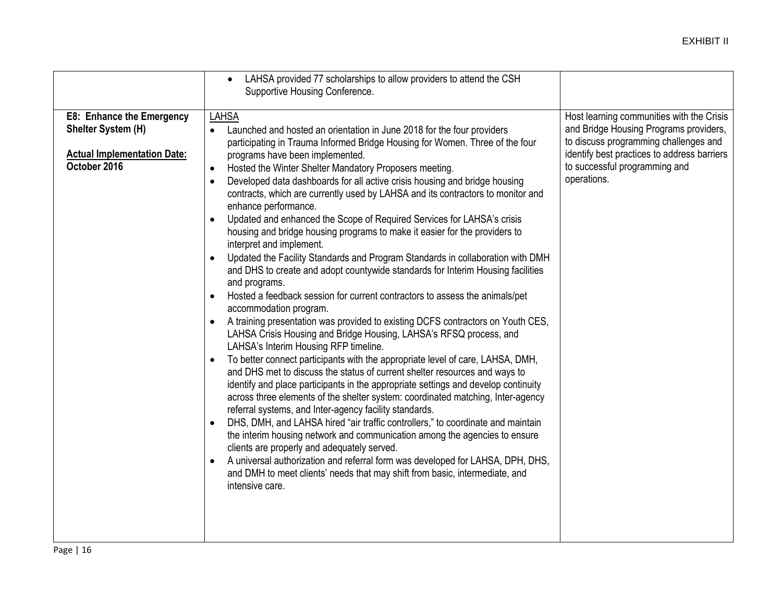|                                                                                                              | LAHSA provided 77 scholarships to allow providers to attend the CSH<br>$\bullet$<br>Supportive Housing Conference.                                                                                                                                                                                                                                                                                                                                                                                                                                                                                                                                                                                                                                                                                                                                                                                                                                                                                                                                                                                                                                                                                                                                                                                                                                                                                                                                                                                                                                                                                                                                                                                                                                                                                                                                                                                                                                                                                                                                  |                                                                                                                                                                                                                             |
|--------------------------------------------------------------------------------------------------------------|-----------------------------------------------------------------------------------------------------------------------------------------------------------------------------------------------------------------------------------------------------------------------------------------------------------------------------------------------------------------------------------------------------------------------------------------------------------------------------------------------------------------------------------------------------------------------------------------------------------------------------------------------------------------------------------------------------------------------------------------------------------------------------------------------------------------------------------------------------------------------------------------------------------------------------------------------------------------------------------------------------------------------------------------------------------------------------------------------------------------------------------------------------------------------------------------------------------------------------------------------------------------------------------------------------------------------------------------------------------------------------------------------------------------------------------------------------------------------------------------------------------------------------------------------------------------------------------------------------------------------------------------------------------------------------------------------------------------------------------------------------------------------------------------------------------------------------------------------------------------------------------------------------------------------------------------------------------------------------------------------------------------------------------------------------|-----------------------------------------------------------------------------------------------------------------------------------------------------------------------------------------------------------------------------|
| <b>E8: Enhance the Emergency</b><br>Shelter System (H)<br><b>Actual Implementation Date:</b><br>October 2016 | <b>LAHSA</b><br>Launched and hosted an orientation in June 2018 for the four providers<br>$\bullet$<br>participating in Trauma Informed Bridge Housing for Women. Three of the four<br>programs have been implemented.<br>Hosted the Winter Shelter Mandatory Proposers meeting.<br>$\bullet$<br>Developed data dashboards for all active crisis housing and bridge housing<br>$\bullet$<br>contracts, which are currently used by LAHSA and its contractors to monitor and<br>enhance performance.<br>Updated and enhanced the Scope of Required Services for LAHSA's crisis<br>$\bullet$<br>housing and bridge housing programs to make it easier for the providers to<br>interpret and implement.<br>Updated the Facility Standards and Program Standards in collaboration with DMH<br>and DHS to create and adopt countywide standards for Interim Housing facilities<br>and programs.<br>Hosted a feedback session for current contractors to assess the animals/pet<br>$\bullet$<br>accommodation program.<br>A training presentation was provided to existing DCFS contractors on Youth CES,<br>LAHSA Crisis Housing and Bridge Housing, LAHSA's RFSQ process, and<br>LAHSA's Interim Housing RFP timeline.<br>To better connect participants with the appropriate level of care, LAHSA, DMH,<br>and DHS met to discuss the status of current shelter resources and ways to<br>identify and place participants in the appropriate settings and develop continuity<br>across three elements of the shelter system: coordinated matching, Inter-agency<br>referral systems, and Inter-agency facility standards.<br>DHS, DMH, and LAHSA hired "air traffic controllers," to coordinate and maintain<br>$\bullet$<br>the interim housing network and communication among the agencies to ensure<br>clients are properly and adequately served.<br>A universal authorization and referral form was developed for LAHSA, DPH, DHS,<br>$\bullet$<br>and DMH to meet clients' needs that may shift from basic, intermediate, and<br>intensive care. | Host learning communities with the Crisis<br>and Bridge Housing Programs providers,<br>to discuss programming challenges and<br>identify best practices to address barriers<br>to successful programming and<br>operations. |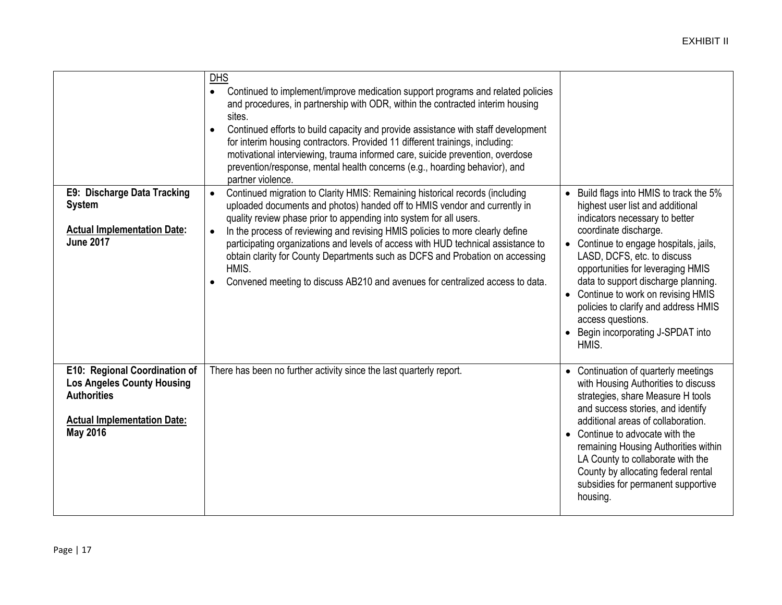| E9: Discharge Data Tracking<br><b>System</b><br><b>Actual Implementation Date:</b><br><b>June 2017</b>                                            | <b>DHS</b><br>Continued to implement/improve medication support programs and related policies<br>$\bullet$<br>and procedures, in partnership with ODR, within the contracted interim housing<br>sites.<br>Continued efforts to build capacity and provide assistance with staff development<br>$\bullet$<br>for interim housing contractors. Provided 11 different trainings, including:<br>motivational interviewing, trauma informed care, suicide prevention, overdose<br>prevention/response, mental health concerns (e.g., hoarding behavior), and<br>partner violence.<br>Continued migration to Clarity HMIS: Remaining historical records (including<br>uploaded documents and photos) handed off to HMIS vendor and currently in<br>quality review phase prior to appending into system for all users.<br>In the process of reviewing and revising HMIS policies to more clearly define<br>$\bullet$<br>participating organizations and levels of access with HUD technical assistance to<br>obtain clarity for County Departments such as DCFS and Probation on accessing<br>HMIS.<br>Convened meeting to discuss AB210 and avenues for centralized access to data.<br>$\bullet$ | • Build flags into HMIS to track the 5%<br>highest user list and additional<br>indicators necessary to better<br>coordinate discharge.<br>• Continue to engage hospitals, jails,<br>LASD, DCFS, etc. to discuss<br>opportunities for leveraging HMIS<br>data to support discharge planning.<br>• Continue to work on revising HMIS<br>policies to clarify and address HMIS<br>access questions.<br>Begin incorporating J-SPDAT into<br>HMIS. |
|---------------------------------------------------------------------------------------------------------------------------------------------------|--------------------------------------------------------------------------------------------------------------------------------------------------------------------------------------------------------------------------------------------------------------------------------------------------------------------------------------------------------------------------------------------------------------------------------------------------------------------------------------------------------------------------------------------------------------------------------------------------------------------------------------------------------------------------------------------------------------------------------------------------------------------------------------------------------------------------------------------------------------------------------------------------------------------------------------------------------------------------------------------------------------------------------------------------------------------------------------------------------------------------------------------------------------------------------------------|----------------------------------------------------------------------------------------------------------------------------------------------------------------------------------------------------------------------------------------------------------------------------------------------------------------------------------------------------------------------------------------------------------------------------------------------|
|                                                                                                                                                   |                                                                                                                                                                                                                                                                                                                                                                                                                                                                                                                                                                                                                                                                                                                                                                                                                                                                                                                                                                                                                                                                                                                                                                                            |                                                                                                                                                                                                                                                                                                                                                                                                                                              |
| E10: Regional Coordination of<br><b>Los Angeles County Housing</b><br><b>Authorities</b><br><b>Actual Implementation Date:</b><br><b>May 2016</b> | There has been no further activity since the last quarterly report.                                                                                                                                                                                                                                                                                                                                                                                                                                                                                                                                                                                                                                                                                                                                                                                                                                                                                                                                                                                                                                                                                                                        | • Continuation of quarterly meetings<br>with Housing Authorities to discuss<br>strategies, share Measure H tools<br>and success stories, and identify<br>additional areas of collaboration.<br>• Continue to advocate with the<br>remaining Housing Authorities within<br>LA County to collaborate with the<br>County by allocating federal rental<br>subsidies for permanent supportive<br>housing.                                         |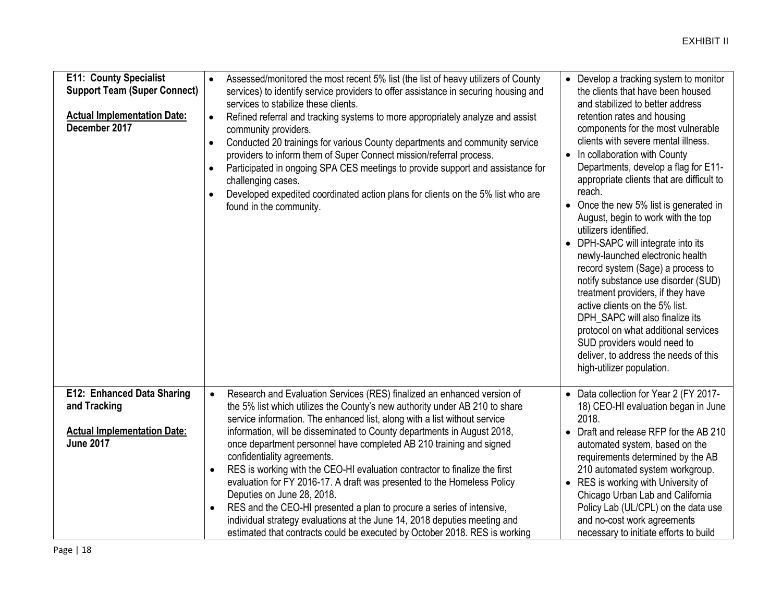| <b>E11: County Specialist</b><br><b>Support Team (Super Connect)</b><br><b>Actual Implementation Date:</b><br>December 2017 | Assessed/monitored the most recent 5% list (the list of heavy utilizers of County<br>$\bullet$<br>services) to identify service providers to offer assistance in securing housing and<br>services to stabilize these clients.<br>Refined referral and tracking systems to more appropriately analyze and assist<br>$\bullet$<br>community providers.<br>Conducted 20 trainings for various County departments and community service<br>providers to inform them of Super Connect mission/referral process.<br>Participated in ongoing SPA CES meetings to provide support and assistance for<br>challenging cases.<br>Developed expedited coordinated action plans for clients on the 5% list who are<br>found in the community.                                                                                                                                                       | • Develop a tracking system to monitor<br>the clients that have been housed<br>and stabilized to better address<br>retention rates and housing<br>components for the most vulnerable<br>clients with severe mental illness.<br>• In collaboration with County<br>Departments, develop a flag for E11-<br>appropriate clients that are difficult to<br>reach.<br>• Once the new 5% list is generated in<br>August, begin to work with the top<br>utilizers identified.<br>DPH-SAPC will integrate into its<br>$\bullet$<br>newly-launched electronic health<br>record system (Sage) a process to<br>notify substance use disorder (SUD)<br>treatment providers, if they have<br>active clients on the 5% list.<br>DPH_SAPC will also finalize its<br>protocol on what additional services<br>SUD providers would need to<br>deliver, to address the needs of this<br>high-utilizer population. |
|-----------------------------------------------------------------------------------------------------------------------------|----------------------------------------------------------------------------------------------------------------------------------------------------------------------------------------------------------------------------------------------------------------------------------------------------------------------------------------------------------------------------------------------------------------------------------------------------------------------------------------------------------------------------------------------------------------------------------------------------------------------------------------------------------------------------------------------------------------------------------------------------------------------------------------------------------------------------------------------------------------------------------------|-----------------------------------------------------------------------------------------------------------------------------------------------------------------------------------------------------------------------------------------------------------------------------------------------------------------------------------------------------------------------------------------------------------------------------------------------------------------------------------------------------------------------------------------------------------------------------------------------------------------------------------------------------------------------------------------------------------------------------------------------------------------------------------------------------------------------------------------------------------------------------------------------|
| E12: Enhanced Data Sharing<br>and Tracking<br><b>Actual Implementation Date:</b><br><b>June 2017</b>                        | Research and Evaluation Services (RES) finalized an enhanced version of<br>$\bullet$<br>the 5% list which utilizes the County's new authority under AB 210 to share<br>service information. The enhanced list, along with a list without service<br>information, will be disseminated to County departments in August 2018,<br>once department personnel have completed AB 210 training and signed<br>confidentiality agreements.<br>RES is working with the CEO-HI evaluation contractor to finalize the first<br>$\bullet$<br>evaluation for FY 2016-17. A draft was presented to the Homeless Policy<br>Deputies on June 28, 2018.<br>RES and the CEO-HI presented a plan to procure a series of intensive,<br>$\bullet$<br>individual strategy evaluations at the June 14, 2018 deputies meeting and<br>estimated that contracts could be executed by October 2018. RES is working | • Data collection for Year 2 (FY 2017-<br>18) CEO-HI evaluation began in June<br>2018.<br>Draft and release RFP for the AB 210<br>$\bullet$<br>automated system, based on the<br>requirements determined by the AB<br>210 automated system workgroup.<br>• RES is working with University of<br>Chicago Urban Lab and California<br>Policy Lab (UL/CPL) on the data use<br>and no-cost work agreements<br>necessary to initiate efforts to build                                                                                                                                                                                                                                                                                                                                                                                                                                              |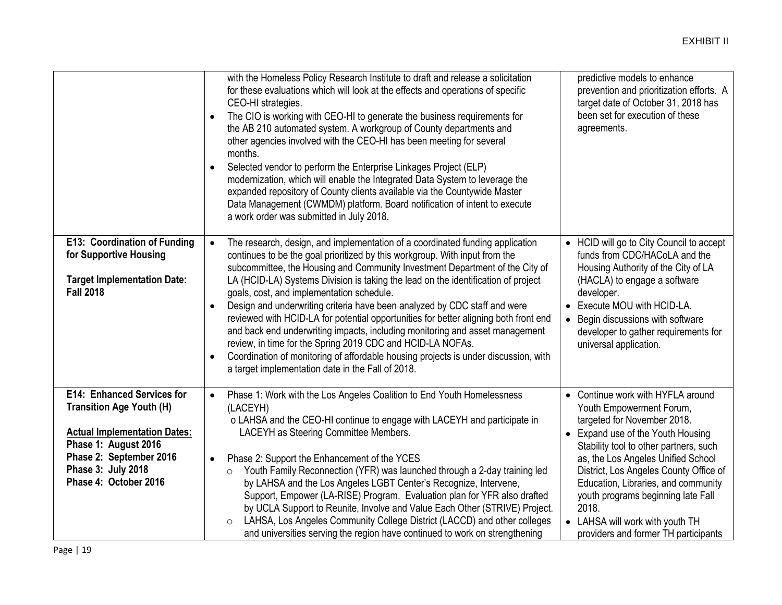|                                                                                                                                                                                                               | with the Homeless Policy Research Institute to draft and release a solicitation<br>for these evaluations which will look at the effects and operations of specific<br>CEO-HI strategies.<br>The CIO is working with CEO-HI to generate the business requirements for<br>$\bullet$<br>the AB 210 automated system. A workgroup of County departments and<br>other agencies involved with the CEO-HI has been meeting for several<br>months.<br>Selected vendor to perform the Enterprise Linkages Project (ELP)<br>$\bullet$<br>modernization, which will enable the Integrated Data System to leverage the<br>expanded repository of County clients available via the Countywide Master<br>Data Management (CWMDM) platform. Board notification of intent to execute<br>a work order was submitted in July 2018.                                                                     | predictive models to enhance<br>prevention and prioritization efforts. A<br>target date of October 31, 2018 has<br>been set for execution of these<br>agreements.                                                                                                                                                                                                                                                            |
|---------------------------------------------------------------------------------------------------------------------------------------------------------------------------------------------------------------|--------------------------------------------------------------------------------------------------------------------------------------------------------------------------------------------------------------------------------------------------------------------------------------------------------------------------------------------------------------------------------------------------------------------------------------------------------------------------------------------------------------------------------------------------------------------------------------------------------------------------------------------------------------------------------------------------------------------------------------------------------------------------------------------------------------------------------------------------------------------------------------|------------------------------------------------------------------------------------------------------------------------------------------------------------------------------------------------------------------------------------------------------------------------------------------------------------------------------------------------------------------------------------------------------------------------------|
| E13: Coordination of Funding<br>for Supportive Housing<br><b>Target Implementation Date:</b><br><b>Fall 2018</b>                                                                                              | The research, design, and implementation of a coordinated funding application<br>$\bullet$<br>continues to be the goal prioritized by this workgroup. With input from the<br>subcommittee, the Housing and Community Investment Department of the City of<br>LA (HCID-LA) Systems Division is taking the lead on the identification of project<br>goals, cost, and implementation schedule.<br>Design and underwriting criteria have been analyzed by CDC staff and were<br>$\bullet$<br>reviewed with HCID-LA for potential opportunities for better aligning both front end<br>and back end underwriting impacts, including monitoring and asset management<br>review, in time for the Spring 2019 CDC and HCID-LA NOFAs.<br>Coordination of monitoring of affordable housing projects is under discussion, with<br>$\bullet$<br>a target implementation date in the Fall of 2018. | • HCID will go to City Council to accept<br>funds from CDC/HACoLA and the<br>Housing Authority of the City of LA<br>(HACLA) to engage a software<br>developer.<br>Execute MOU with HCID-LA.<br>Begin discussions with software<br>$\bullet$<br>developer to gather requirements for<br>universal application.                                                                                                                |
| <b>E14: Enhanced Services for</b><br><b>Transition Age Youth (H)</b><br><b>Actual Implementation Dates:</b><br>Phase 1: August 2016<br>Phase 2: September 2016<br>Phase 3: July 2018<br>Phase 4: October 2016 | Phase 1: Work with the Los Angeles Coalition to End Youth Homelessness<br>$\bullet$<br>(LACEYH)<br>o LAHSA and the CEO-HI continue to engage with LACEYH and participate in<br>LACEYH as Steering Committee Members.<br>Phase 2: Support the Enhancement of the YCES<br>$\bullet$<br>Youth Family Reconnection (YFR) was launched through a 2-day training led<br>$\circ$<br>by LAHSA and the Los Angeles LGBT Center's Recognize, Intervene,<br>Support, Empower (LA-RISE) Program. Evaluation plan for YFR also drafted<br>by UCLA Support to Reunite, Involve and Value Each Other (STRIVE) Project.<br>LAHSA, Los Angeles Community College District (LACCD) and other colleges<br>$\circ$<br>and universities serving the region have continued to work on strengthening                                                                                                        | • Continue work with HYFLA around<br>Youth Empowerment Forum,<br>targeted for November 2018.<br>• Expand use of the Youth Housing<br>Stability tool to other partners, such<br>as, the Los Angeles Unified School<br>District, Los Angeles County Office of<br>Education, Libraries, and community<br>youth programs beginning late Fall<br>2018.<br>• LAHSA will work with youth TH<br>providers and former TH participants |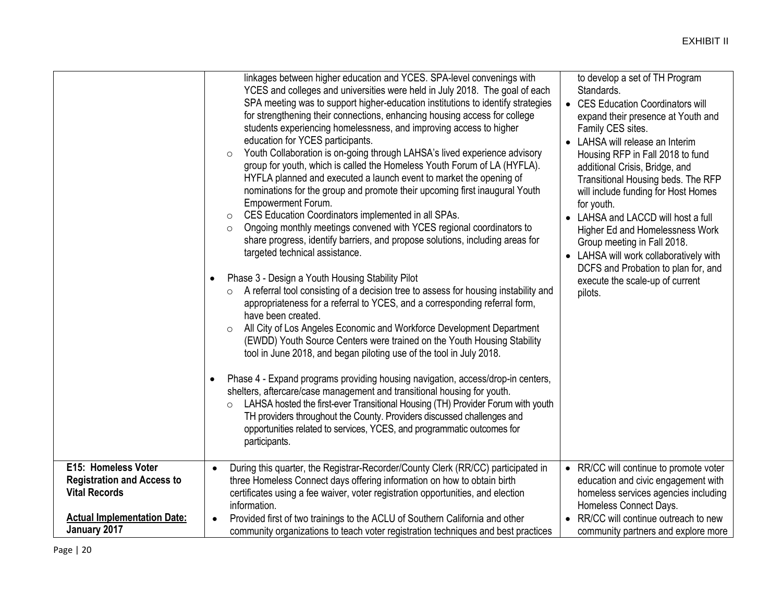|                                    | linkages between higher education and YCES. SPA-level convenings with<br>YCES and colleges and universities were held in July 2018. The goal of each<br>SPA meeting was to support higher-education institutions to identify strategies<br>for strengthening their connections, enhancing housing access for college<br>students experiencing homelessness, and improving access to higher<br>education for YCES participants.<br>Youth Collaboration is on-going through LAHSA's lived experience advisory<br>$\circ$<br>group for youth, which is called the Homeless Youth Forum of LA (HYFLA).<br>HYFLA planned and executed a launch event to market the opening of<br>nominations for the group and promote their upcoming first inaugural Youth<br><b>Empowerment Forum.</b><br>CES Education Coordinators implemented in all SPAs.<br>$\circ$<br>Ongoing monthly meetings convened with YCES regional coordinators to<br>$\circ$<br>share progress, identify barriers, and propose solutions, including areas for<br>targeted technical assistance.<br>Phase 3 - Design a Youth Housing Stability Pilot<br>$\bullet$<br>A referral tool consisting of a decision tree to assess for housing instability and<br>$\circ$<br>appropriateness for a referral to YCES, and a corresponding referral form,<br>have been created.<br>All City of Los Angeles Economic and Workforce Development Department<br>$\circ$<br>(EWDD) Youth Source Centers were trained on the Youth Housing Stability<br>tool in June 2018, and began piloting use of the tool in July 2018.<br>Phase 4 - Expand programs providing housing navigation, access/drop-in centers,<br>$\bullet$<br>shelters, aftercare/case management and transitional housing for youth.<br>LAHSA hosted the first-ever Transitional Housing (TH) Provider Forum with youth<br>$\circ$<br>TH providers throughout the County. Providers discussed challenges and<br>opportunities related to services, YCES, and programmatic outcomes for<br>participants. | to develop a set of TH Program<br>Standards.<br>• CES Education Coordinators will<br>expand their presence at Youth and<br>Family CES sites.<br>• LAHSA will release an Interim<br>Housing RFP in Fall 2018 to fund<br>additional Crisis, Bridge, and<br>Transitional Housing beds. The RFP<br>will include funding for Host Homes<br>for youth.<br>• LAHSA and LACCD will host a full<br>Higher Ed and Homelessness Work<br>Group meeting in Fall 2018.<br>• LAHSA will work collaboratively with<br>DCFS and Probation to plan for, and<br>execute the scale-up of current<br>pilots. |
|------------------------------------|------------------------------------------------------------------------------------------------------------------------------------------------------------------------------------------------------------------------------------------------------------------------------------------------------------------------------------------------------------------------------------------------------------------------------------------------------------------------------------------------------------------------------------------------------------------------------------------------------------------------------------------------------------------------------------------------------------------------------------------------------------------------------------------------------------------------------------------------------------------------------------------------------------------------------------------------------------------------------------------------------------------------------------------------------------------------------------------------------------------------------------------------------------------------------------------------------------------------------------------------------------------------------------------------------------------------------------------------------------------------------------------------------------------------------------------------------------------------------------------------------------------------------------------------------------------------------------------------------------------------------------------------------------------------------------------------------------------------------------------------------------------------------------------------------------------------------------------------------------------------------------------------------------------------------------------------------------------------------------------------------------------------|-----------------------------------------------------------------------------------------------------------------------------------------------------------------------------------------------------------------------------------------------------------------------------------------------------------------------------------------------------------------------------------------------------------------------------------------------------------------------------------------------------------------------------------------------------------------------------------------|
| E15: Homeless Voter                | During this quarter, the Registrar-Recorder/County Clerk (RR/CC) participated in<br>$\bullet$                                                                                                                                                                                                                                                                                                                                                                                                                                                                                                                                                                                                                                                                                                                                                                                                                                                                                                                                                                                                                                                                                                                                                                                                                                                                                                                                                                                                                                                                                                                                                                                                                                                                                                                                                                                                                                                                                                                          | • RR/CC will continue to promote voter                                                                                                                                                                                                                                                                                                                                                                                                                                                                                                                                                  |
| <b>Registration and Access to</b>  | three Homeless Connect days offering information on how to obtain birth                                                                                                                                                                                                                                                                                                                                                                                                                                                                                                                                                                                                                                                                                                                                                                                                                                                                                                                                                                                                                                                                                                                                                                                                                                                                                                                                                                                                                                                                                                                                                                                                                                                                                                                                                                                                                                                                                                                                                | education and civic engagement with                                                                                                                                                                                                                                                                                                                                                                                                                                                                                                                                                     |
| <b>Vital Records</b>               |                                                                                                                                                                                                                                                                                                                                                                                                                                                                                                                                                                                                                                                                                                                                                                                                                                                                                                                                                                                                                                                                                                                                                                                                                                                                                                                                                                                                                                                                                                                                                                                                                                                                                                                                                                                                                                                                                                                                                                                                                        |                                                                                                                                                                                                                                                                                                                                                                                                                                                                                                                                                                                         |
|                                    | certificates using a fee waiver, voter registration opportunities, and election                                                                                                                                                                                                                                                                                                                                                                                                                                                                                                                                                                                                                                                                                                                                                                                                                                                                                                                                                                                                                                                                                                                                                                                                                                                                                                                                                                                                                                                                                                                                                                                                                                                                                                                                                                                                                                                                                                                                        | homeless services agencies including                                                                                                                                                                                                                                                                                                                                                                                                                                                                                                                                                    |
|                                    | information.                                                                                                                                                                                                                                                                                                                                                                                                                                                                                                                                                                                                                                                                                                                                                                                                                                                                                                                                                                                                                                                                                                                                                                                                                                                                                                                                                                                                                                                                                                                                                                                                                                                                                                                                                                                                                                                                                                                                                                                                           | Homeless Connect Days.                                                                                                                                                                                                                                                                                                                                                                                                                                                                                                                                                                  |
| <b>Actual Implementation Date:</b> | Provided first of two trainings to the ACLU of Southern California and other                                                                                                                                                                                                                                                                                                                                                                                                                                                                                                                                                                                                                                                                                                                                                                                                                                                                                                                                                                                                                                                                                                                                                                                                                                                                                                                                                                                                                                                                                                                                                                                                                                                                                                                                                                                                                                                                                                                                           | RR/CC will continue outreach to new                                                                                                                                                                                                                                                                                                                                                                                                                                                                                                                                                     |
| January 2017                       | community organizations to teach voter registration techniques and best practices                                                                                                                                                                                                                                                                                                                                                                                                                                                                                                                                                                                                                                                                                                                                                                                                                                                                                                                                                                                                                                                                                                                                                                                                                                                                                                                                                                                                                                                                                                                                                                                                                                                                                                                                                                                                                                                                                                                                      | community partners and explore more                                                                                                                                                                                                                                                                                                                                                                                                                                                                                                                                                     |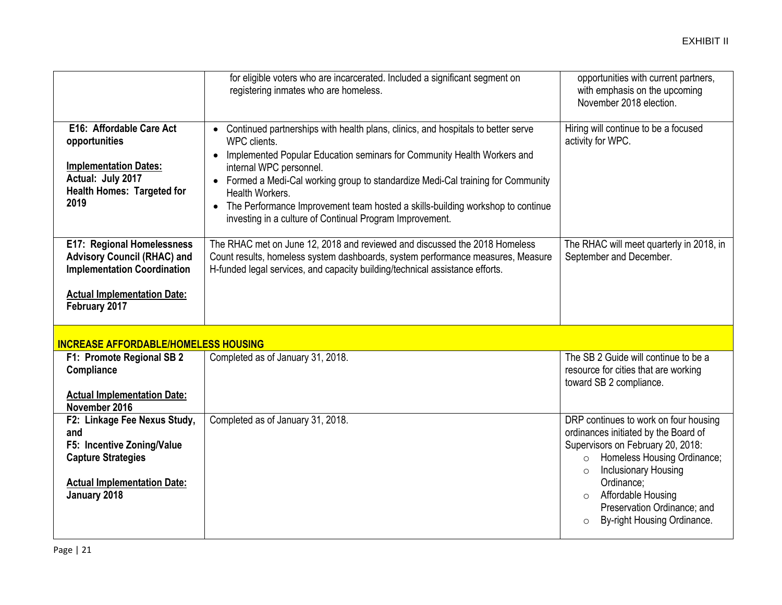|                                                                                                                                                               | for eligible voters who are incarcerated. Included a significant segment on<br>registering inmates who are homeless.                                                                                                                                                                                                                                                                                                                                                                  | opportunities with current partners,<br>with emphasis on the upcoming<br>November 2018 election.                                                                                                                                                                                                                        |
|---------------------------------------------------------------------------------------------------------------------------------------------------------------|---------------------------------------------------------------------------------------------------------------------------------------------------------------------------------------------------------------------------------------------------------------------------------------------------------------------------------------------------------------------------------------------------------------------------------------------------------------------------------------|-------------------------------------------------------------------------------------------------------------------------------------------------------------------------------------------------------------------------------------------------------------------------------------------------------------------------|
| E16: Affordable Care Act<br>opportunities<br><b>Implementation Dates:</b><br>Actual: July 2017<br><b>Health Homes: Targeted for</b><br>2019                   | • Continued partnerships with health plans, clinics, and hospitals to better serve<br>WPC clients.<br>Implemented Popular Education seminars for Community Health Workers and<br>$\bullet$<br>internal WPC personnel.<br>Formed a Medi-Cal working group to standardize Medi-Cal training for Community<br>Health Workers.<br>The Performance Improvement team hosted a skills-building workshop to continue<br>$\bullet$<br>investing in a culture of Continual Program Improvement. | Hiring will continue to be a focused<br>activity for WPC.                                                                                                                                                                                                                                                               |
| E17: Regional Homelessness<br><b>Advisory Council (RHAC) and</b><br><b>Implementation Coordination</b><br><b>Actual Implementation Date:</b><br>February 2017 | The RHAC met on June 12, 2018 and reviewed and discussed the 2018 Homeless<br>Count results, homeless system dashboards, system performance measures, Measure<br>H-funded legal services, and capacity building/technical assistance efforts.                                                                                                                                                                                                                                         | The RHAC will meet quarterly in 2018, in<br>September and December.                                                                                                                                                                                                                                                     |
| <b>INCREASE AFFORDABLE/HOMELESS HOUSING</b>                                                                                                                   |                                                                                                                                                                                                                                                                                                                                                                                                                                                                                       |                                                                                                                                                                                                                                                                                                                         |
| F1: Promote Regional SB 2<br>Compliance<br><b>Actual Implementation Date:</b><br>November 2016                                                                | Completed as of January 31, 2018.                                                                                                                                                                                                                                                                                                                                                                                                                                                     | The SB 2 Guide will continue to be a<br>resource for cities that are working<br>toward SB 2 compliance.                                                                                                                                                                                                                 |
| F2: Linkage Fee Nexus Study,<br>and<br>F5: Incentive Zoning/Value<br><b>Capture Strategies</b><br><b>Actual Implementation Date:</b><br>January 2018          | Completed as of January 31, 2018.                                                                                                                                                                                                                                                                                                                                                                                                                                                     | DRP continues to work on four housing<br>ordinances initiated by the Board of<br>Supervisors on February 20, 2018:<br>Homeless Housing Ordinance;<br>$\circ$<br>Inclusionary Housing<br>$\circ$<br>Ordinance:<br>Affordable Housing<br>$\circ$<br>Preservation Ordinance; and<br>By-right Housing Ordinance.<br>$\circ$ |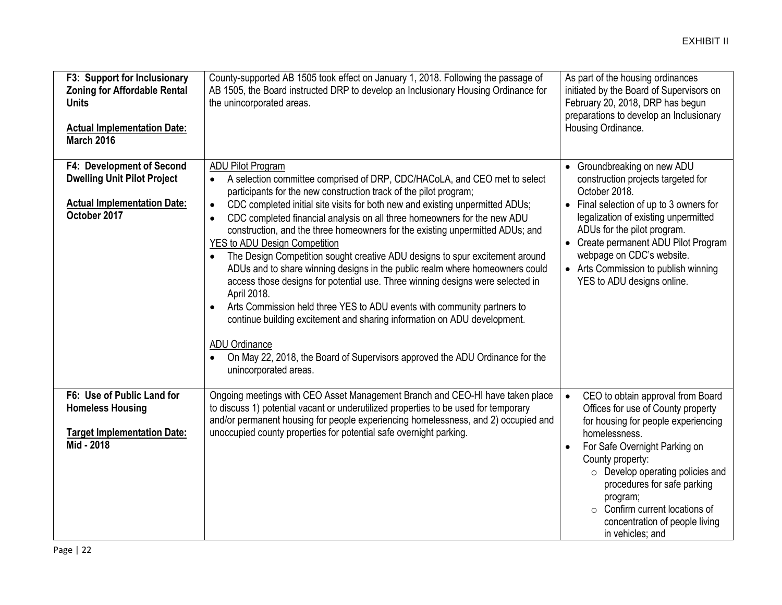| F3: Support for Inclusionary<br><b>Zoning for Affordable Rental</b><br><b>Units</b><br><b>Actual Implementation Date:</b><br><b>March 2016</b> | County-supported AB 1505 took effect on January 1, 2018. Following the passage of<br>AB 1505, the Board instructed DRP to develop an Inclusionary Housing Ordinance for<br>the unincorporated areas.                                                                                                                                                                                                                                                                                                                                                                                                                                                                                                                                                                                                                                                                                                                                                                                                                                                                          | As part of the housing ordinances<br>initiated by the Board of Supervisors on<br>February 20, 2018, DRP has begun<br>preparations to develop an Inclusionary<br>Housing Ordinance.                                                                                                                                                                                      |
|------------------------------------------------------------------------------------------------------------------------------------------------|-------------------------------------------------------------------------------------------------------------------------------------------------------------------------------------------------------------------------------------------------------------------------------------------------------------------------------------------------------------------------------------------------------------------------------------------------------------------------------------------------------------------------------------------------------------------------------------------------------------------------------------------------------------------------------------------------------------------------------------------------------------------------------------------------------------------------------------------------------------------------------------------------------------------------------------------------------------------------------------------------------------------------------------------------------------------------------|-------------------------------------------------------------------------------------------------------------------------------------------------------------------------------------------------------------------------------------------------------------------------------------------------------------------------------------------------------------------------|
| F4: Development of Second<br><b>Dwelling Unit Pilot Project</b><br><b>Actual Implementation Date:</b><br>October 2017                          | <b>ADU Pilot Program</b><br>A selection committee comprised of DRP, CDC/HACoLA, and CEO met to select<br>$\bullet$<br>participants for the new construction track of the pilot program;<br>CDC completed initial site visits for both new and existing unpermitted ADUs;<br>$\bullet$<br>CDC completed financial analysis on all three homeowners for the new ADU<br>$\bullet$<br>construction, and the three homeowners for the existing unpermitted ADUs; and<br><b>YES to ADU Design Competition</b><br>The Design Competition sought creative ADU designs to spur excitement around<br>ADUs and to share winning designs in the public realm where homeowners could<br>access those designs for potential use. Three winning designs were selected in<br>April 2018.<br>Arts Commission held three YES to ADU events with community partners to<br>$\bullet$<br>continue building excitement and sharing information on ADU development.<br><b>ADU Ordinance</b><br>On May 22, 2018, the Board of Supervisors approved the ADU Ordinance for the<br>unincorporated areas. | • Groundbreaking on new ADU<br>construction projects targeted for<br>October 2018.<br>• Final selection of up to 3 owners for<br>legalization of existing unpermitted<br>ADUs for the pilot program.<br>• Create permanent ADU Pilot Program<br>webpage on CDC's website.<br>• Arts Commission to publish winning<br>YES to ADU designs online.                         |
| F6: Use of Public Land for<br><b>Homeless Housing</b><br><b>Target Implementation Date:</b><br>Mid - 2018                                      | Ongoing meetings with CEO Asset Management Branch and CEO-HI have taken place<br>to discuss 1) potential vacant or underutilized properties to be used for temporary<br>and/or permanent housing for people experiencing homelessness, and 2) occupied and<br>unoccupied county properties for potential safe overnight parking.                                                                                                                                                                                                                                                                                                                                                                                                                                                                                                                                                                                                                                                                                                                                              | CEO to obtain approval from Board<br>Offices for use of County property<br>for housing for people experiencing<br>homelessness.<br>For Safe Overnight Parking on<br>County property:<br>$\circ$ Develop operating policies and<br>procedures for safe parking<br>program;<br>$\circ$ Confirm current locations of<br>concentration of people living<br>in vehicles; and |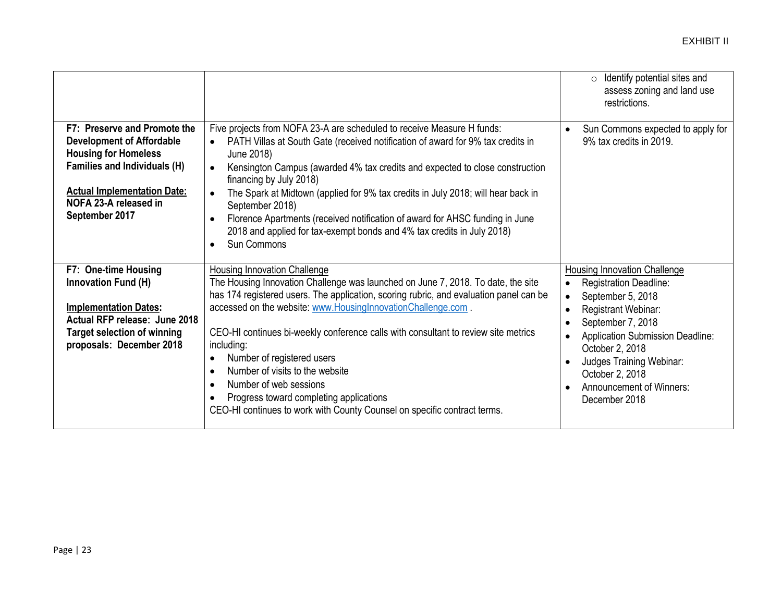|                                                                                                                                                                                                                         |                                                                                                                                                                                                                                                                                                                                                                                                                                                                                                                                                                                                                                         | Identify potential sites and<br>$\circ$<br>assess zoning and land use<br>restrictions.                                                                                                                                                                                                                                                                                       |
|-------------------------------------------------------------------------------------------------------------------------------------------------------------------------------------------------------------------------|-----------------------------------------------------------------------------------------------------------------------------------------------------------------------------------------------------------------------------------------------------------------------------------------------------------------------------------------------------------------------------------------------------------------------------------------------------------------------------------------------------------------------------------------------------------------------------------------------------------------------------------------|------------------------------------------------------------------------------------------------------------------------------------------------------------------------------------------------------------------------------------------------------------------------------------------------------------------------------------------------------------------------------|
| F7: Preserve and Promote the<br><b>Development of Affordable</b><br><b>Housing for Homeless</b><br><b>Families and Individuals (H)</b><br><b>Actual Implementation Date:</b><br>NOFA 23-A released in<br>September 2017 | Five projects from NOFA 23-A are scheduled to receive Measure H funds:<br>PATH Villas at South Gate (received notification of award for 9% tax credits in<br>$\bullet$<br>June 2018)<br>Kensington Campus (awarded 4% tax credits and expected to close construction<br>financing by July 2018)<br>The Spark at Midtown (applied for 9% tax credits in July 2018; will hear back in<br>$\bullet$<br>September 2018)<br>Florence Apartments (received notification of award for AHSC funding in June<br>$\bullet$<br>2018 and applied for tax-exempt bonds and 4% tax credits in July 2018)<br>Sun Commons<br>$\bullet$                  | Sun Commons expected to apply for<br>$\bullet$<br>9% tax credits in 2019.                                                                                                                                                                                                                                                                                                    |
| F7: One-time Housing<br>Innovation Fund (H)<br><b>Implementation Dates:</b><br>Actual RFP release: June 2018<br><b>Target selection of winning</b><br>proposals: December 2018                                          | Housing Innovation Challenge<br>The Housing Innovation Challenge was launched on June 7, 2018. To date, the site<br>has 174 registered users. The application, scoring rubric, and evaluation panel can be<br>accessed on the website: www.HousingInnovationChallenge.com.<br>CEO-HI continues bi-weekly conference calls with consultant to review site metrics<br>including:<br>Number of registered users<br>$\bullet$<br>Number of visits to the website<br>Number of web sessions<br>$\bullet$<br>Progress toward completing applications<br>$\bullet$<br>CEO-HI continues to work with County Counsel on specific contract terms. | Housing Innovation Challenge<br>Registration Deadline:<br>$\bullet$<br>September 5, 2018<br>$\bullet$<br>Registrant Webinar:<br>$\bullet$<br>September 7, 2018<br>$\bullet$<br>Application Submission Deadline:<br>$\bullet$<br>October 2, 2018<br>Judges Training Webinar:<br>$\bullet$<br>October 2, 2018<br><b>Announcement of Winners:</b><br>$\bullet$<br>December 2018 |